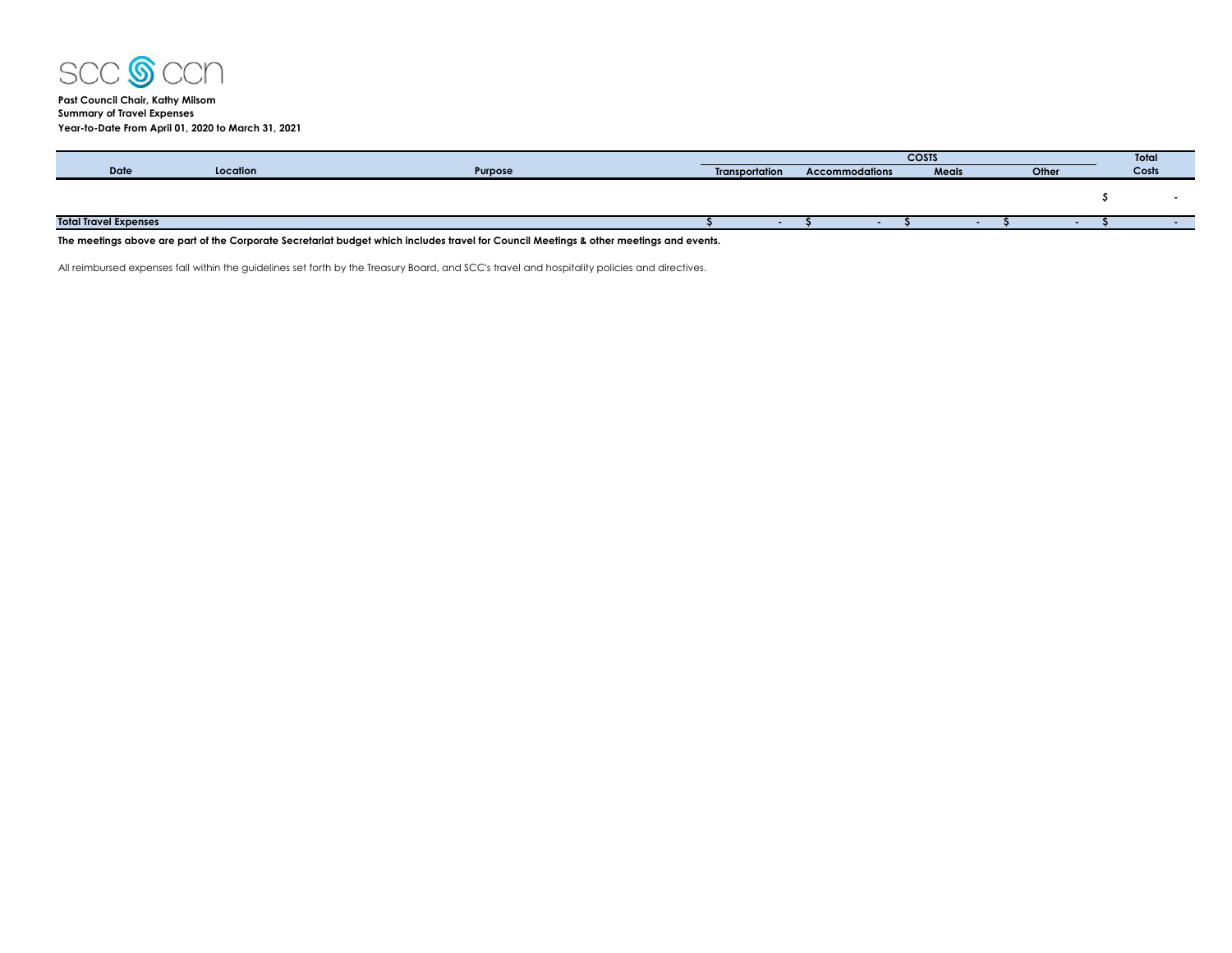

## **Past Council Chair, Kathy Milsom Summary of Travel Expenses Year-to-Date From April 01, 2020 to March 31, 2021**

| <b>Date</b><br>Location<br>Purpose<br><b>Meals</b><br>Other<br><b>Transportation</b><br><b>Accommodations</b> | Costs |
|---------------------------------------------------------------------------------------------------------------|-------|
|                                                                                                               |       |
|                                                                                                               |       |
|                                                                                                               |       |
| <b>Total Travel Expenses</b>                                                                                  |       |

## **The meetings above are part of the Corporate Secretariat budget which includes travel for Council Meetings & other meetings and events.**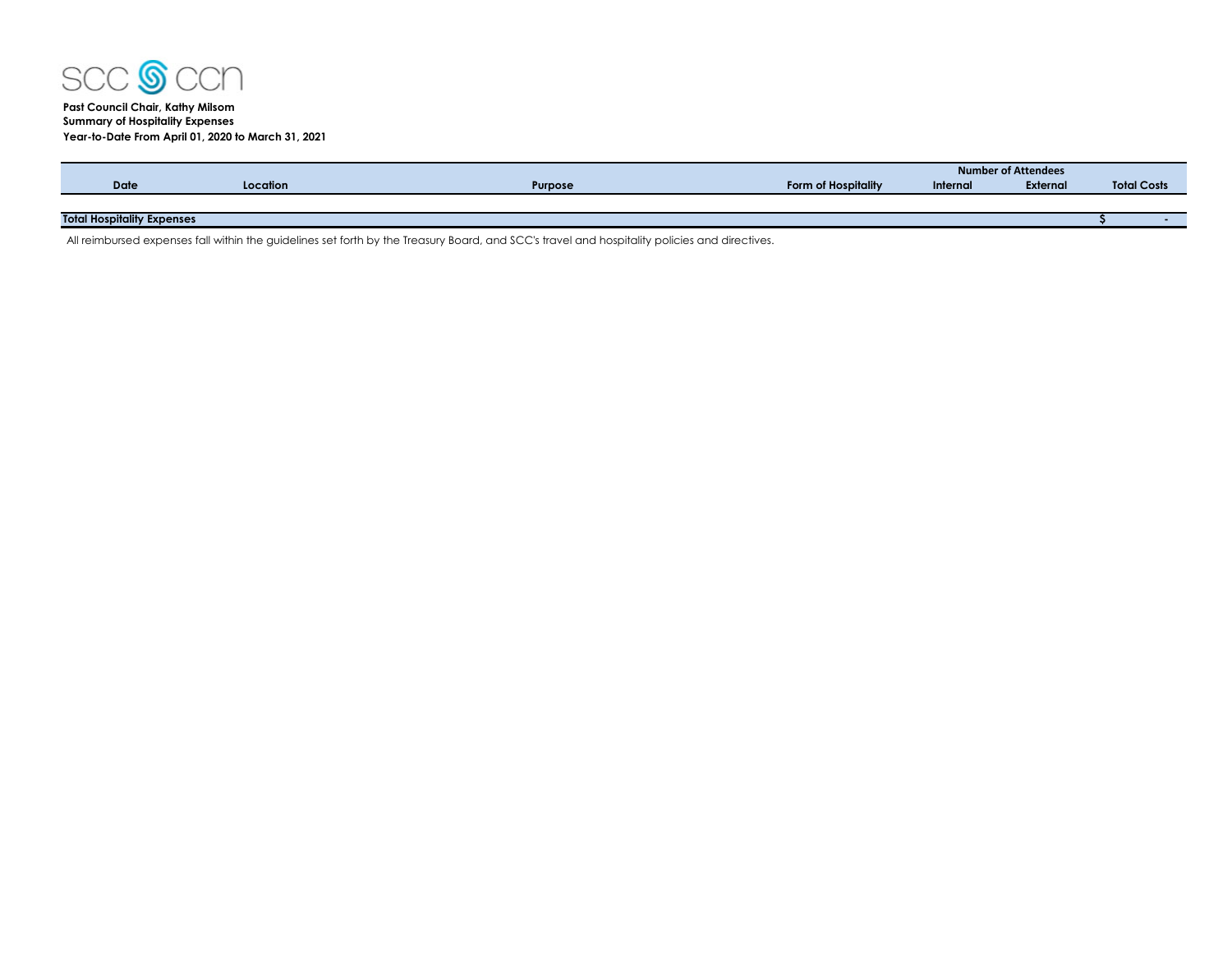

# **Past Council Chair, Kathy Milsom Summary of Hospitality Expenses Year-to-Date From April 01, 2020 to March 31, 2021**

|                                   |          |                |                     | <b>Number of Attendees</b> |          |  |                    |  |  |
|-----------------------------------|----------|----------------|---------------------|----------------------------|----------|--|--------------------|--|--|
| <b>Date</b>                       | Location | <b>Purpose</b> | Form of Hospitality | Internal                   | External |  | <b>Total Costs</b> |  |  |
|                                   |          |                |                     |                            |          |  |                    |  |  |
| <b>Total Hospitality Expenses</b> |          |                |                     |                            |          |  |                    |  |  |
|                                   |          |                |                     |                            |          |  |                    |  |  |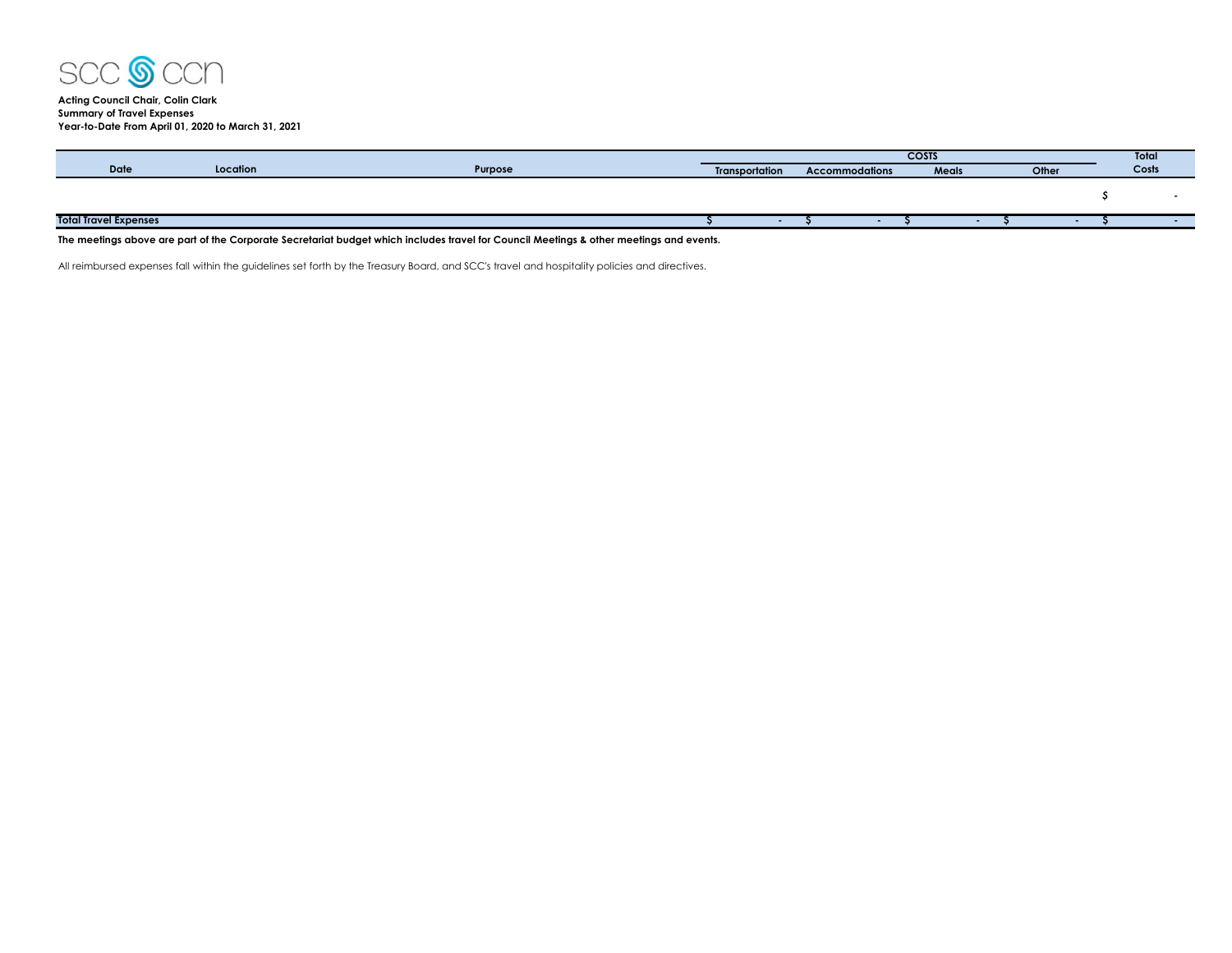

**Acting Council Chair, Colin Clark Summary of Travel Expenses Year-to-Date From April 01, 2020 to March 31, 2021**

|                              |          |         |                       | <b>COSTS</b> |                                         |  |  |       |  |  | <b>Total</b> |  |
|------------------------------|----------|---------|-----------------------|--------------|-----------------------------------------|--|--|-------|--|--|--------------|--|
| <b>Date</b>                  | Location | Purpose | <b>Transportation</b> |              | Meals<br>Other<br><b>Accommodations</b> |  |  | Costs |  |  |              |  |
|                              |          |         |                       |              |                                         |  |  |       |  |  |              |  |
|                              |          |         |                       |              |                                         |  |  |       |  |  |              |  |
|                              |          |         |                       |              |                                         |  |  |       |  |  |              |  |
| <b>Total Travel Expenses</b> |          |         |                       |              |                                         |  |  |       |  |  |              |  |
|                              |          |         |                       |              |                                         |  |  |       |  |  |              |  |

**The meetings above are part of the Corporate Secretariat budget which includes travel for Council Meetings & other meetings and events.**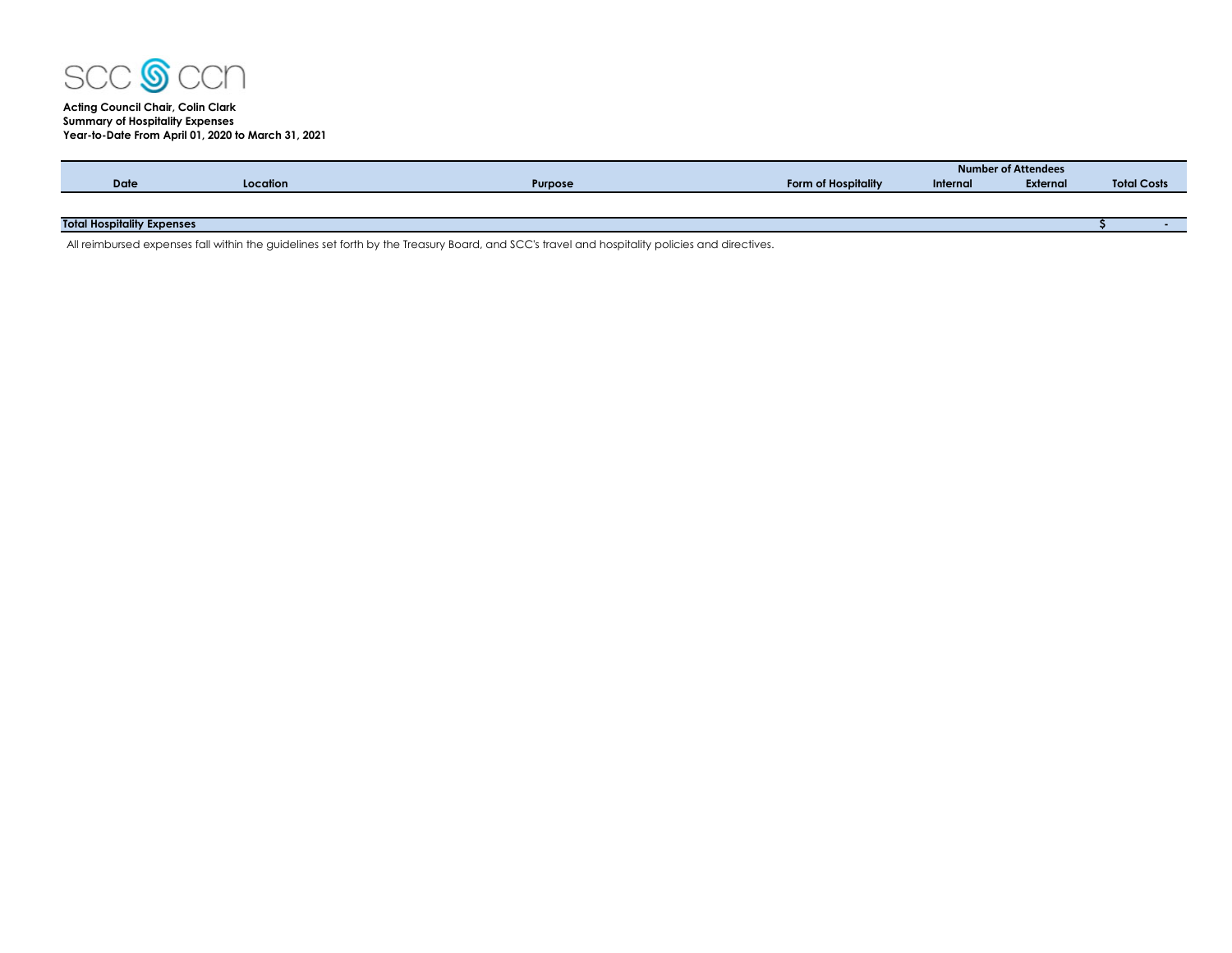

# **Acting Council Chair, Colin Clark Summary of Hospitality Expenses Year-to-Date From April 01, 2020 to March 31, 2021**

|                                   |          |                |                     | Number of Attendees |                 |                    |  |  |  |
|-----------------------------------|----------|----------------|---------------------|---------------------|-----------------|--------------------|--|--|--|
| Date                              | Location | <b>Purpose</b> | Form of Hospitality | Internal            | <b>External</b> | <b>Total Costs</b> |  |  |  |
|                                   |          |                |                     |                     |                 |                    |  |  |  |
|                                   |          |                |                     |                     |                 |                    |  |  |  |
| <b>Total Hospitality Expenses</b> |          |                |                     |                     |                 |                    |  |  |  |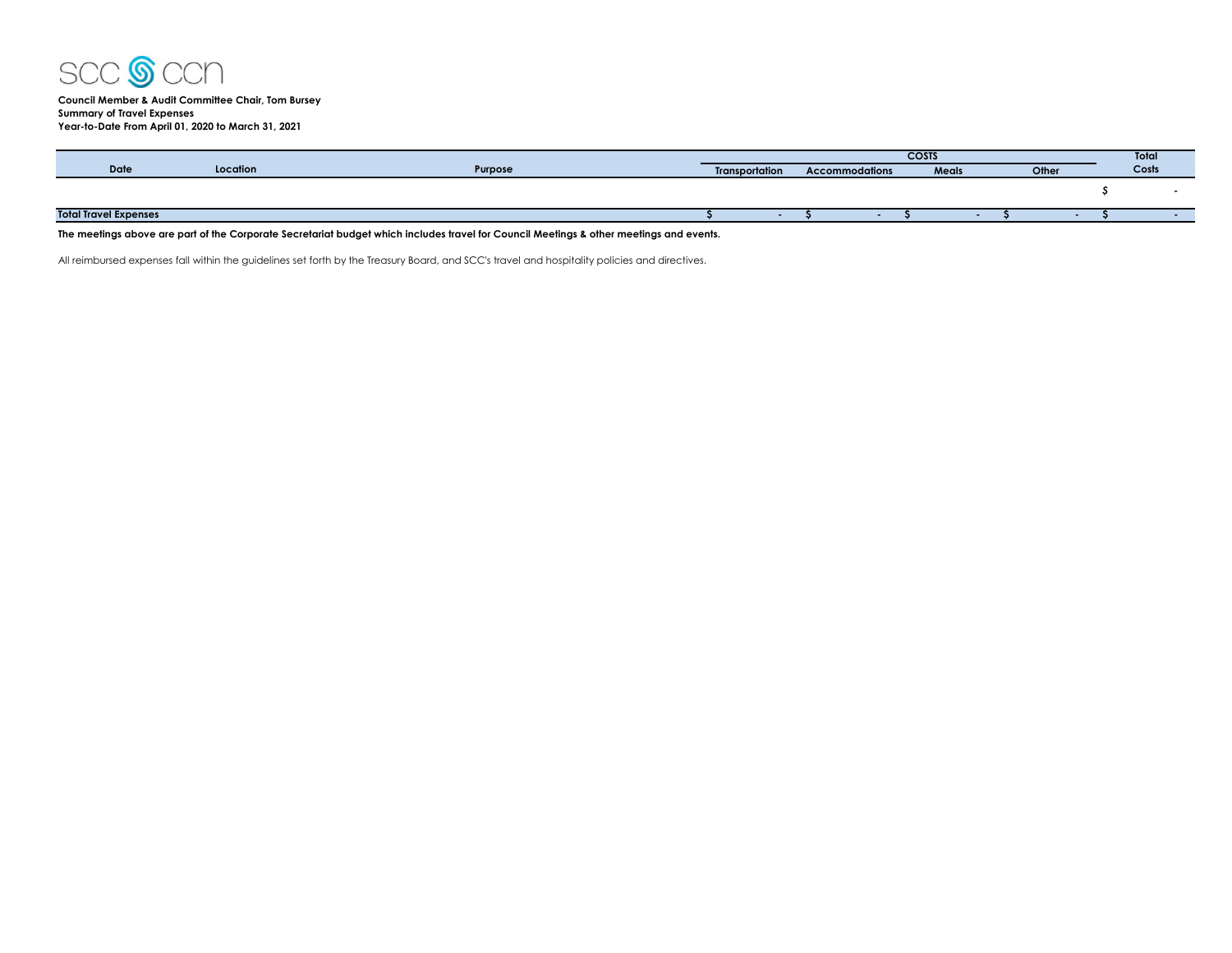

**Council Member & Audit Committee Chair, Tom Bursey Summary of Travel Expenses Year-to-Date From April 01, 2020 to March 31, 2021**

|                              |          |         |                                                |  |  | <b>COSTS</b> |       |  | Total |
|------------------------------|----------|---------|------------------------------------------------|--|--|--------------|-------|--|-------|
| <b>Date</b>                  | Location | Purpose | <b>Accommodations</b><br><b>Transportation</b> |  |  | Meals        | Other |  | Costs |
|                              |          |         |                                                |  |  |              |       |  |       |
| <b>Total Travel Expenses</b> |          |         |                                                |  |  |              |       |  |       |

**The meetings above are part of the Corporate Secretariat budget which includes travel for Council Meetings & other meetings and events.**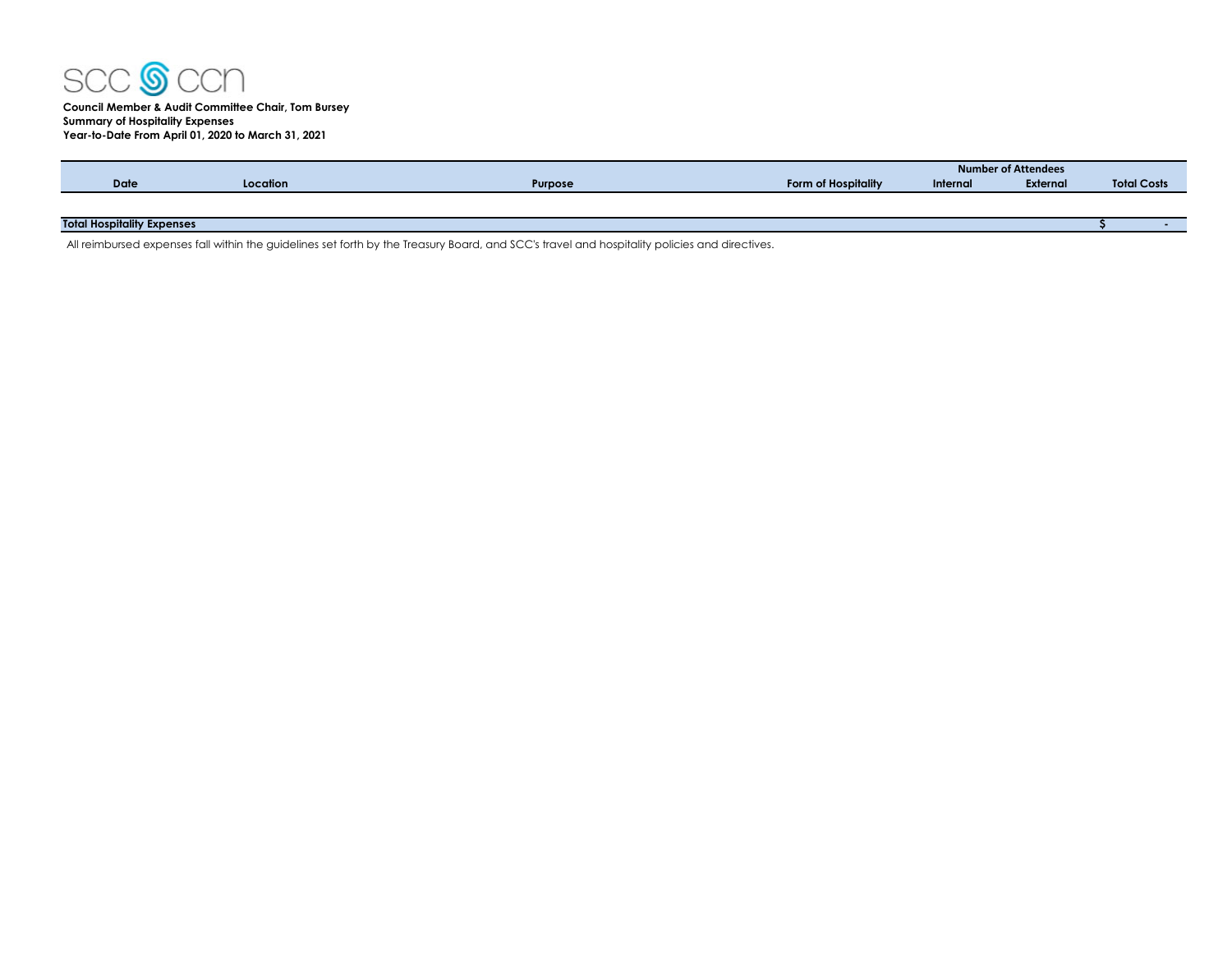

|                                   |          |                |                     | <b>Number of Attendees</b> |          |                    |  |  |  |  |
|-----------------------------------|----------|----------------|---------------------|----------------------------|----------|--------------------|--|--|--|--|
| <b>Date</b>                       | Location | <b>Purpose</b> | Form of Hospitality | Internal                   | External | <b>Total Costs</b> |  |  |  |  |
|                                   |          |                |                     |                            |          |                    |  |  |  |  |
|                                   |          |                |                     |                            |          |                    |  |  |  |  |
| <b>Total Hospitality Expenses</b> |          |                |                     |                            |          |                    |  |  |  |  |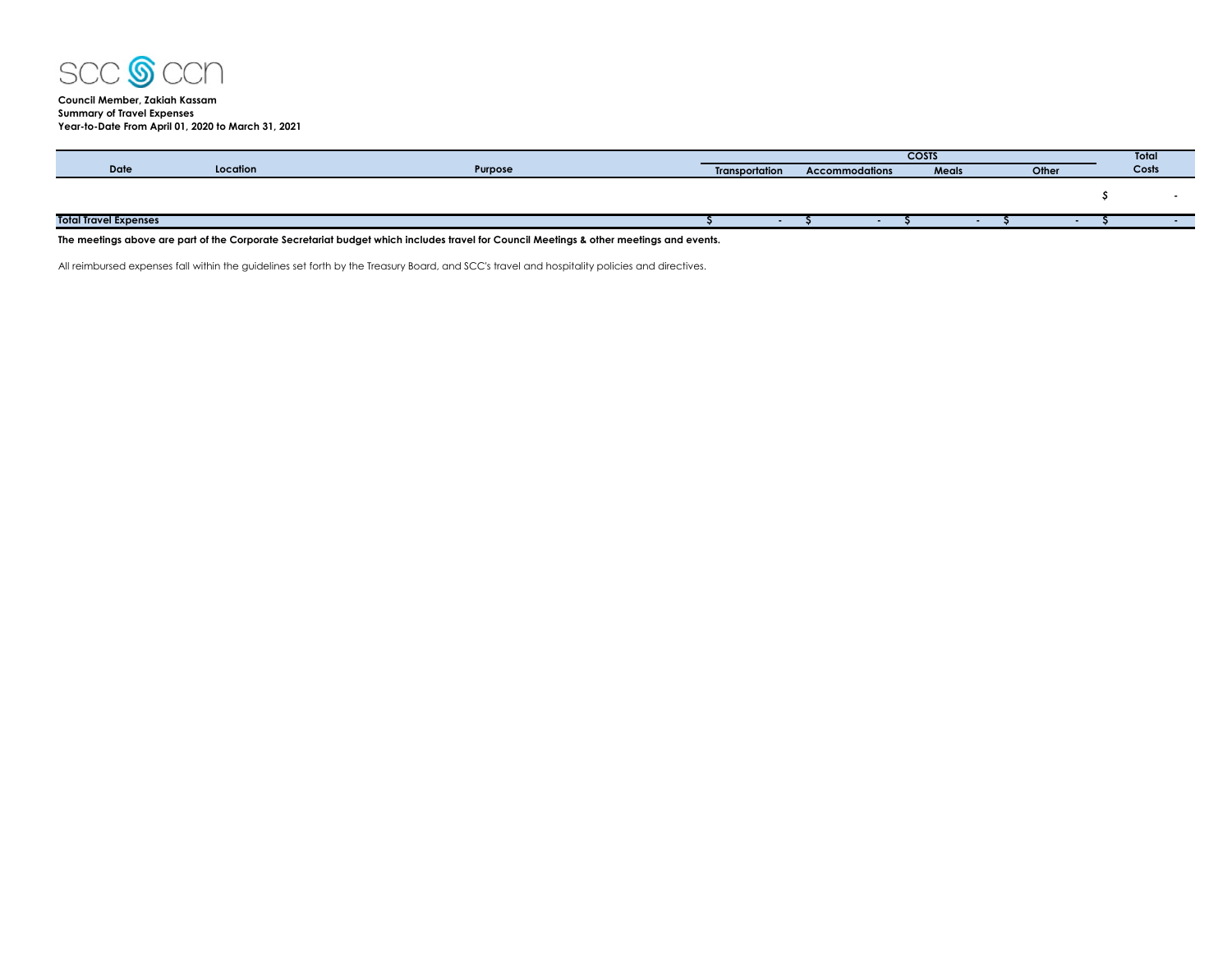

**Council Member, Zakiah Kassam Summary of Travel Expenses Year-to-Date From April 01, 2020 to March 31, 2021**

|                              |          |         |                                                | <b>COSTS</b> |  |  |              |       |  |  | <b>Total</b> |  |  |
|------------------------------|----------|---------|------------------------------------------------|--------------|--|--|--------------|-------|--|--|--------------|--|--|
| <b>Date</b>                  | Location | Purpose | <b>Transportation</b><br><b>Accommodations</b> |              |  |  | <b>Meals</b> | Other |  |  | Costs        |  |  |
|                              |          |         |                                                |              |  |  |              |       |  |  |              |  |  |
|                              |          |         |                                                |              |  |  |              |       |  |  |              |  |  |
|                              |          |         |                                                |              |  |  |              |       |  |  |              |  |  |
| <b>Total Travel Expenses</b> |          |         |                                                |              |  |  |              |       |  |  |              |  |  |
|                              |          |         |                                                |              |  |  |              |       |  |  |              |  |  |

**The meetings above are part of the Corporate Secretariat budget which includes travel for Council Meetings & other meetings and events.**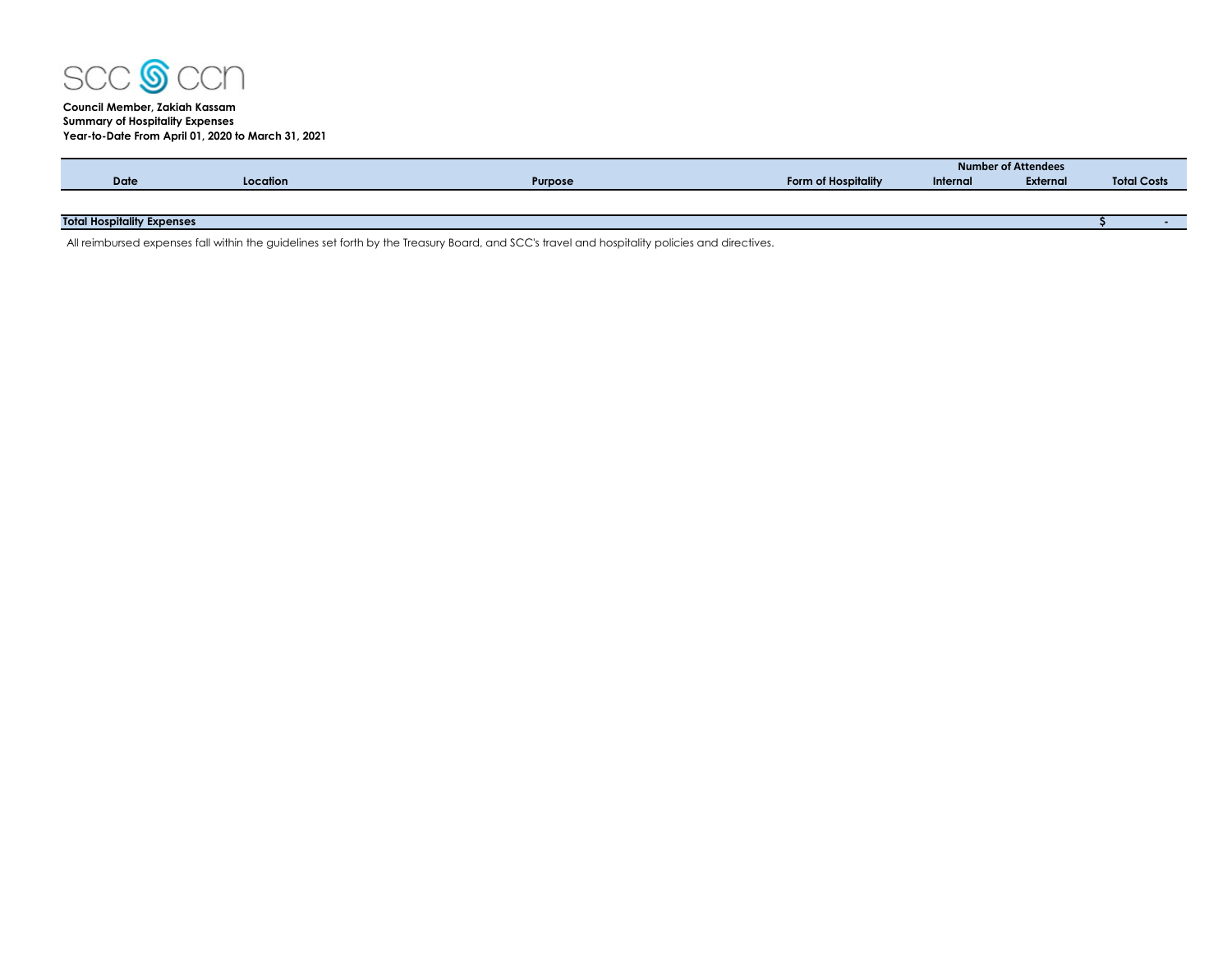

## **Council Member, Zakiah Kassam Summary of Hospitality Expenses Year-to-Date From April 01, 2020 to March 31, 2021**

|                                   |          |                |                            | <b>Number of Attendees</b> |          |                    |  |  |  |
|-----------------------------------|----------|----------------|----------------------------|----------------------------|----------|--------------------|--|--|--|
| <b>Date</b>                       | Location | <b>Purpose</b> | <b>Form of Hospitality</b> | Internal                   | External | <b>Total Costs</b> |  |  |  |
|                                   |          |                |                            |                            |          |                    |  |  |  |
|                                   |          |                |                            |                            |          |                    |  |  |  |
| <b>Total Hospitality Expenses</b> |          |                |                            |                            |          |                    |  |  |  |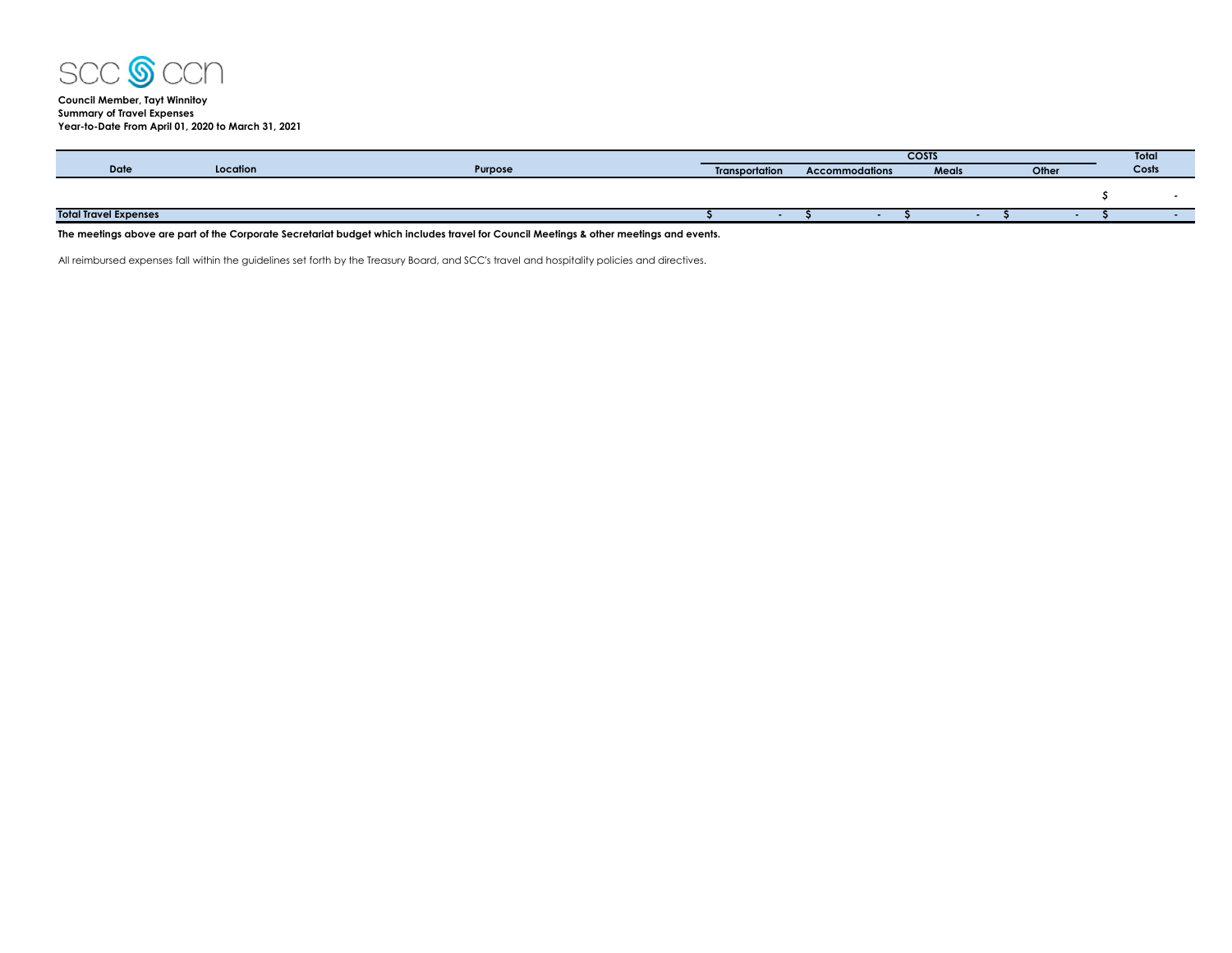

## **Council Member, Tayt Winnitoy Summary of Travel Expenses Year-to-Date From April 01, 2020 to March 31, 2021**

|                              |         | <b>COSTS</b>                            |  |  |  |       |  |       | Total |  |  |
|------------------------------|---------|-----------------------------------------|--|--|--|-------|--|-------|-------|--|--|
| Date<br>Location             | Purpose | Transportation<br><b>Accommodations</b> |  |  |  | Meals |  | Other | Costs |  |  |
|                              |         |                                         |  |  |  |       |  |       |       |  |  |
|                              |         |                                         |  |  |  |       |  |       |       |  |  |
| <b>Total Travel Expenses</b> |         |                                         |  |  |  |       |  |       |       |  |  |

**The meetings above are part of the Corporate Secretariat budget which includes travel for Council Meetings & other meetings and events.**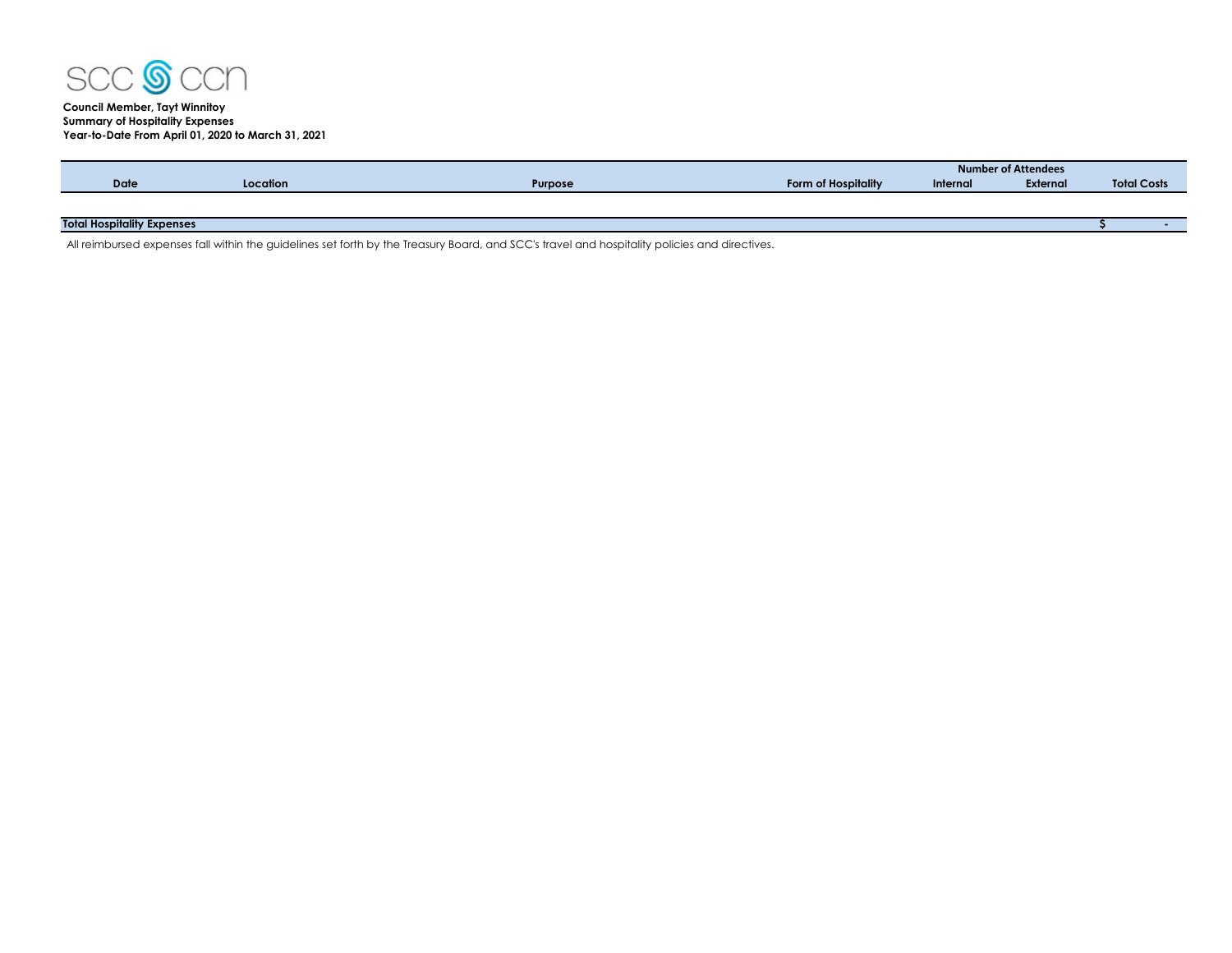

# **Council Member, Tayt Winnitoy Summary of Hospitality Expenses Year-to-Date From April 01, 2020 to March 31, 2021**

|                                   |          |                |                     | <b>Number of Attendees</b> |          |                    |  |  |  |
|-----------------------------------|----------|----------------|---------------------|----------------------------|----------|--------------------|--|--|--|
| Date                              | Location | <b>Purpose</b> | Form of Hospitality | Internal                   | External | <b>Total Costs</b> |  |  |  |
|                                   |          |                |                     |                            |          |                    |  |  |  |
|                                   |          |                |                     |                            |          |                    |  |  |  |
| <b>Total Hospitality Expenses</b> |          |                |                     |                            |          |                    |  |  |  |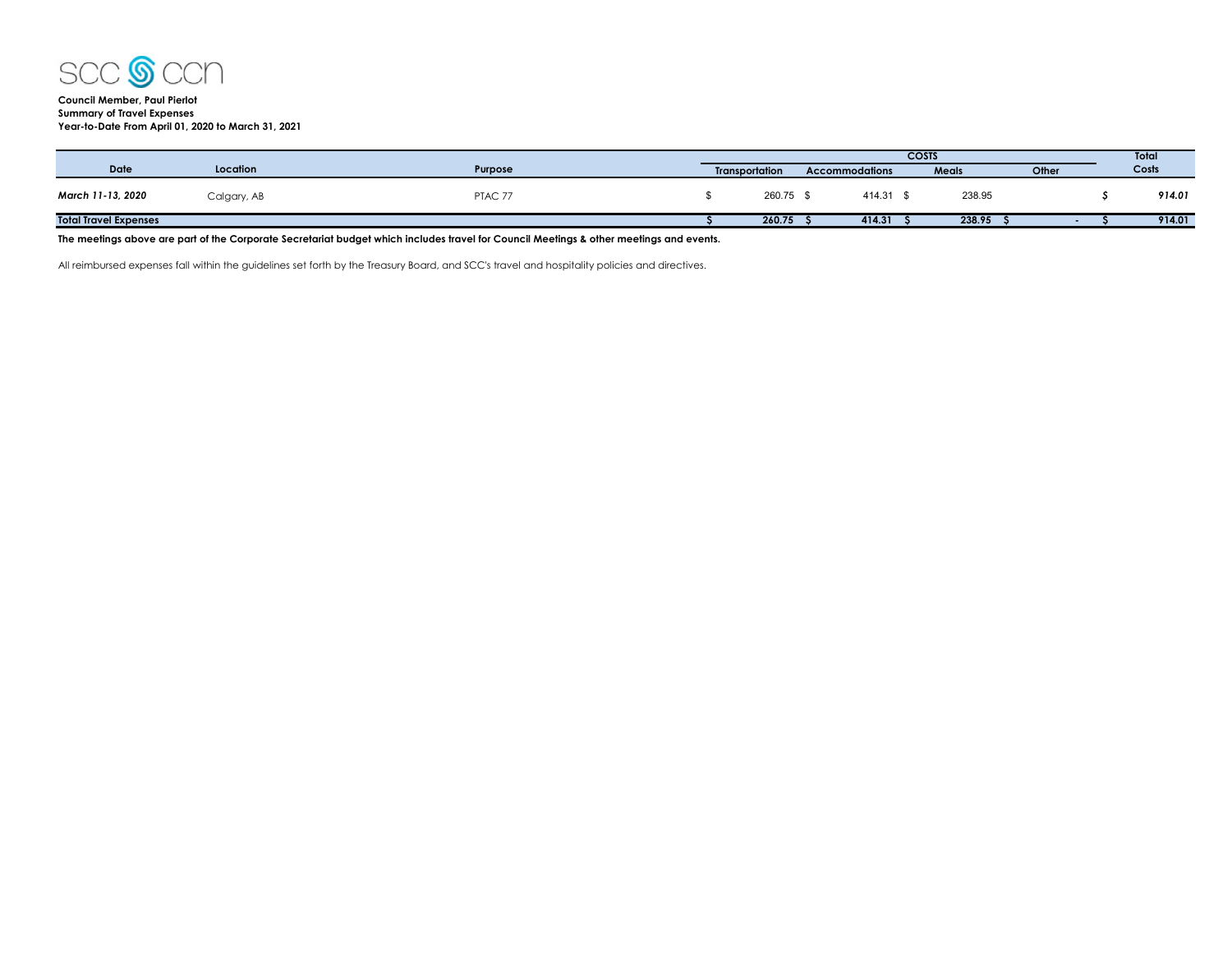

## **Council Member, Paul Pierlot Summary of Travel Expenses Year-to-Date From April 01, 2020 to March 31, 2021**

|                              |             |         |                       | <b>COSTS</b> |                       |  |        |  | Total  |       |       |
|------------------------------|-------------|---------|-----------------------|--------------|-----------------------|--|--------|--|--------|-------|-------|
| <b>Date</b>                  | Location    | Purpose | <b>Transportation</b> |              | <b>Accommodations</b> |  |        |  | Meals  | Other | Costs |
| March 11-13, 2020            | Calgary, AB | PTAC 77 |                       | 260.75       | 414.31 \$             |  | 238.95 |  | 914.01 |       |       |
| <b>Total Travel Expenses</b> |             |         |                       | 260.75       | 414.31                |  | 238.95 |  | 914.01 |       |       |
|                              |             |         |                       |              |                       |  |        |  |        |       |       |

**The meetings above are part of the Corporate Secretariat budget which includes travel for Council Meetings & other meetings and events.**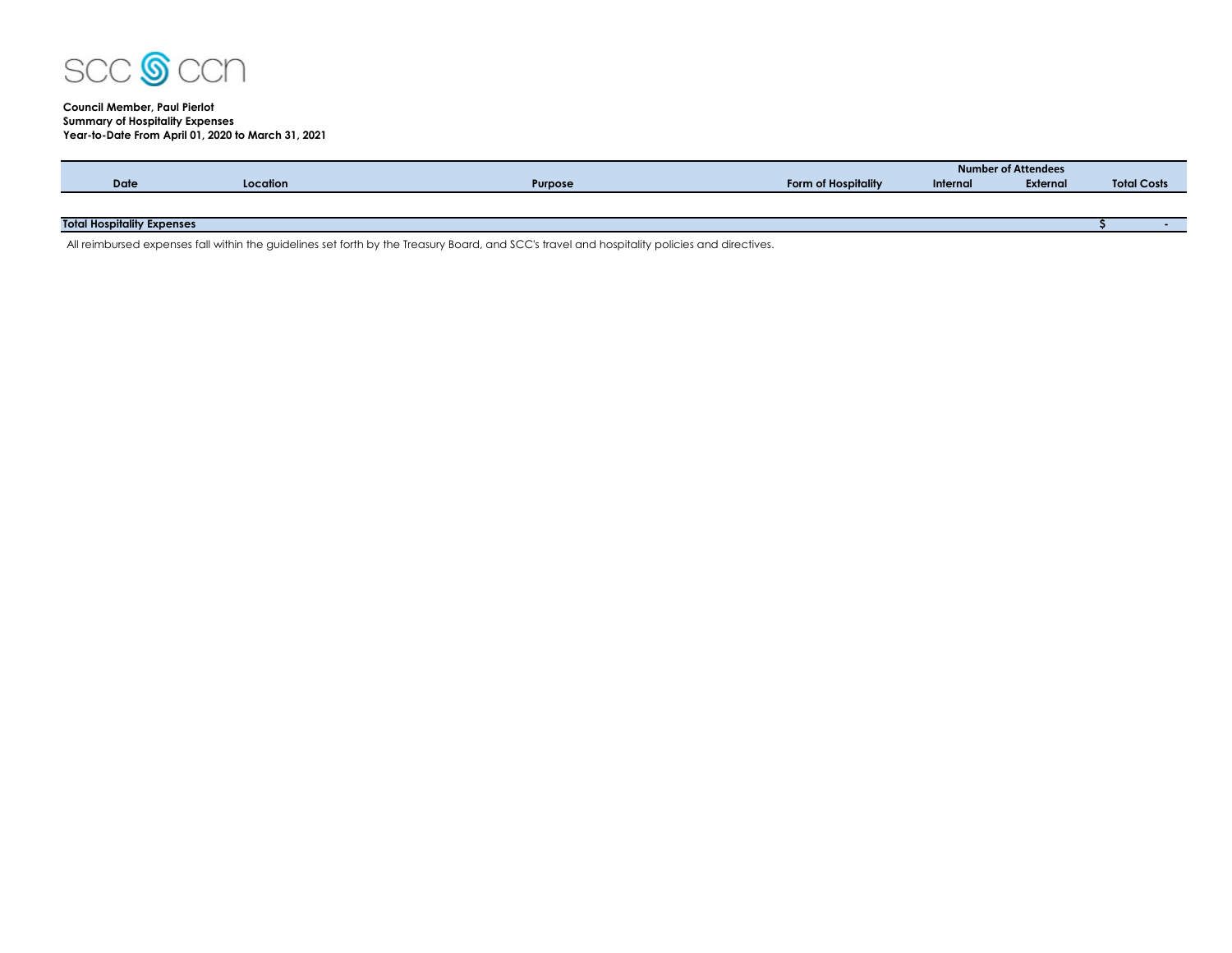

## **Council Member, Paul Pierlot Summary of Hospitality Expenses Year-to-Date From April 01, 2020 to March 31, 2021**

|                                   |          |                |                     | Number of Attendees |                 |                    |  |  |  |
|-----------------------------------|----------|----------------|---------------------|---------------------|-----------------|--------------------|--|--|--|
| <b>Date</b>                       | Location | <b>Purpose</b> | Form of Hospitality | Internal            | <b>External</b> | <b>Total Costs</b> |  |  |  |
|                                   |          |                |                     |                     |                 |                    |  |  |  |
|                                   |          |                |                     |                     |                 |                    |  |  |  |
| <b>Total Hospitality Expenses</b> |          |                |                     |                     |                 |                    |  |  |  |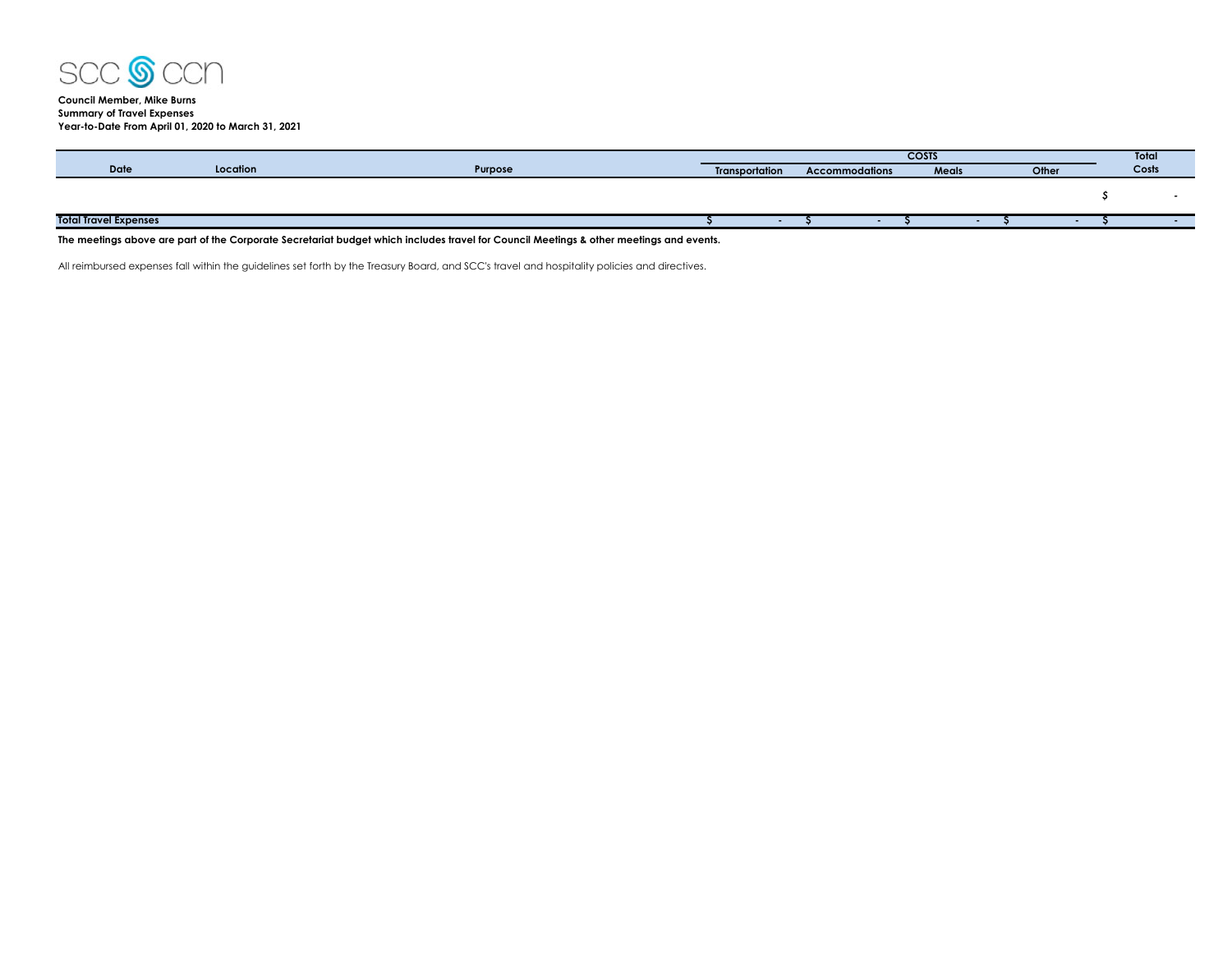

## **Council Member, Mike Burns Summary of Travel Expenses Year-to-Date From April 01, 2020 to March 31, 2021**

|                              |          |         | <b>COSTS</b>          |  |                       |  |  | Total |  |       |       |
|------------------------------|----------|---------|-----------------------|--|-----------------------|--|--|-------|--|-------|-------|
| <b>Date</b>                  | Location | Purpose | <b>Transportation</b> |  | <b>Accommodations</b> |  |  | Meals |  | Other | Costs |
|                              |          |         |                       |  |                       |  |  |       |  |       |       |
|                              |          |         |                       |  |                       |  |  |       |  |       |       |
|                              |          |         |                       |  |                       |  |  |       |  |       |       |
| <b>Total Travel Expenses</b> |          |         |                       |  |                       |  |  |       |  |       |       |
|                              |          |         |                       |  |                       |  |  |       |  |       |       |

**The meetings above are part of the Corporate Secretariat budget which includes travel for Council Meetings & other meetings and events.**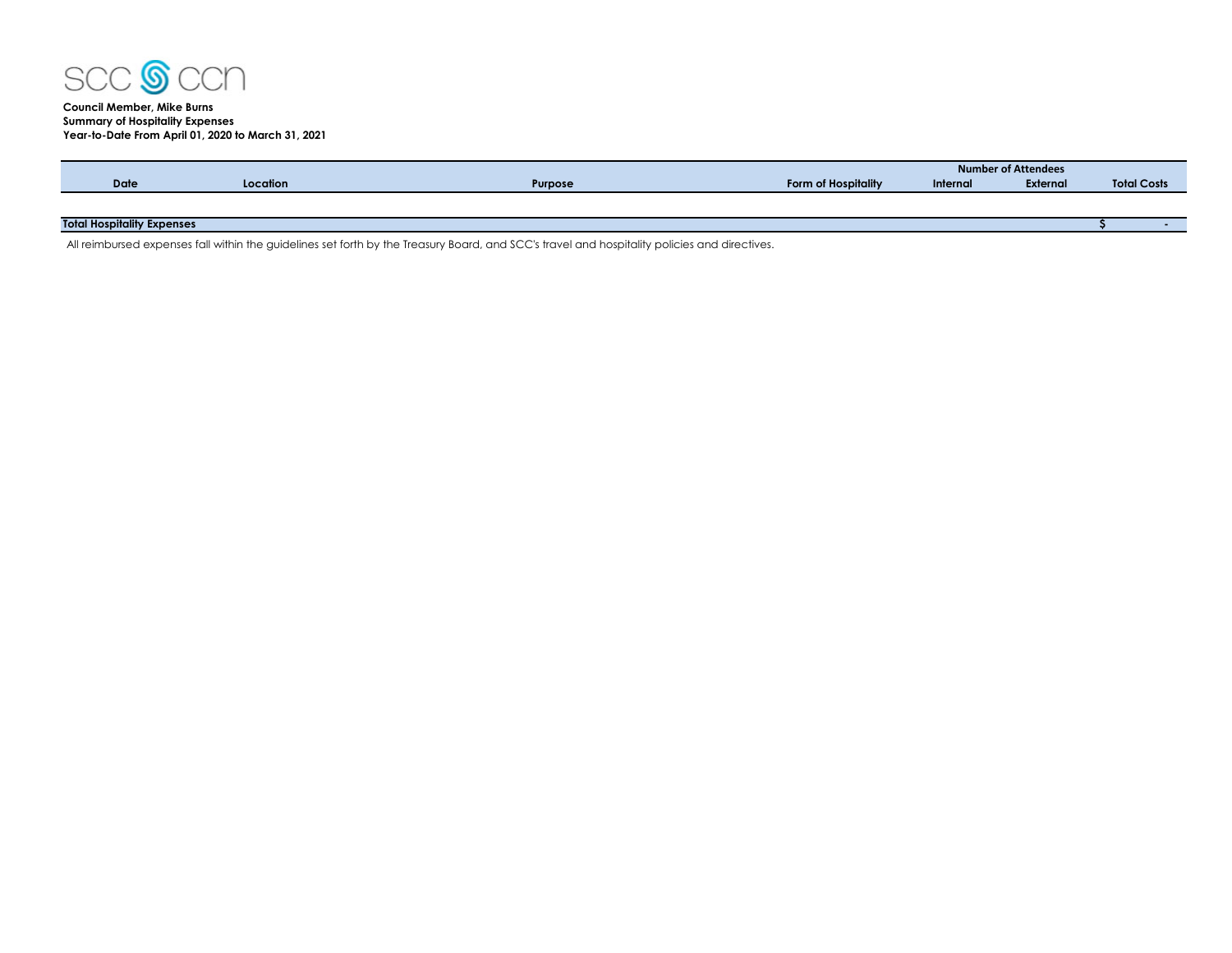

## **Council Member, Mike Burns Summary of Hospitality Expenses Year-to-Date From April 01, 2020 to March 31, 2021**

|                                   |          |                |                     |          | Number of Attendees |                    |  |
|-----------------------------------|----------|----------------|---------------------|----------|---------------------|--------------------|--|
| <b>Date</b>                       | Location | <b>Purpose</b> | Form of Hospitality | Internal | External            | <b>Total Costs</b> |  |
|                                   |          |                |                     |          |                     |                    |  |
|                                   |          |                |                     |          |                     |                    |  |
| <b>Total Hospitality Expenses</b> |          |                |                     |          |                     |                    |  |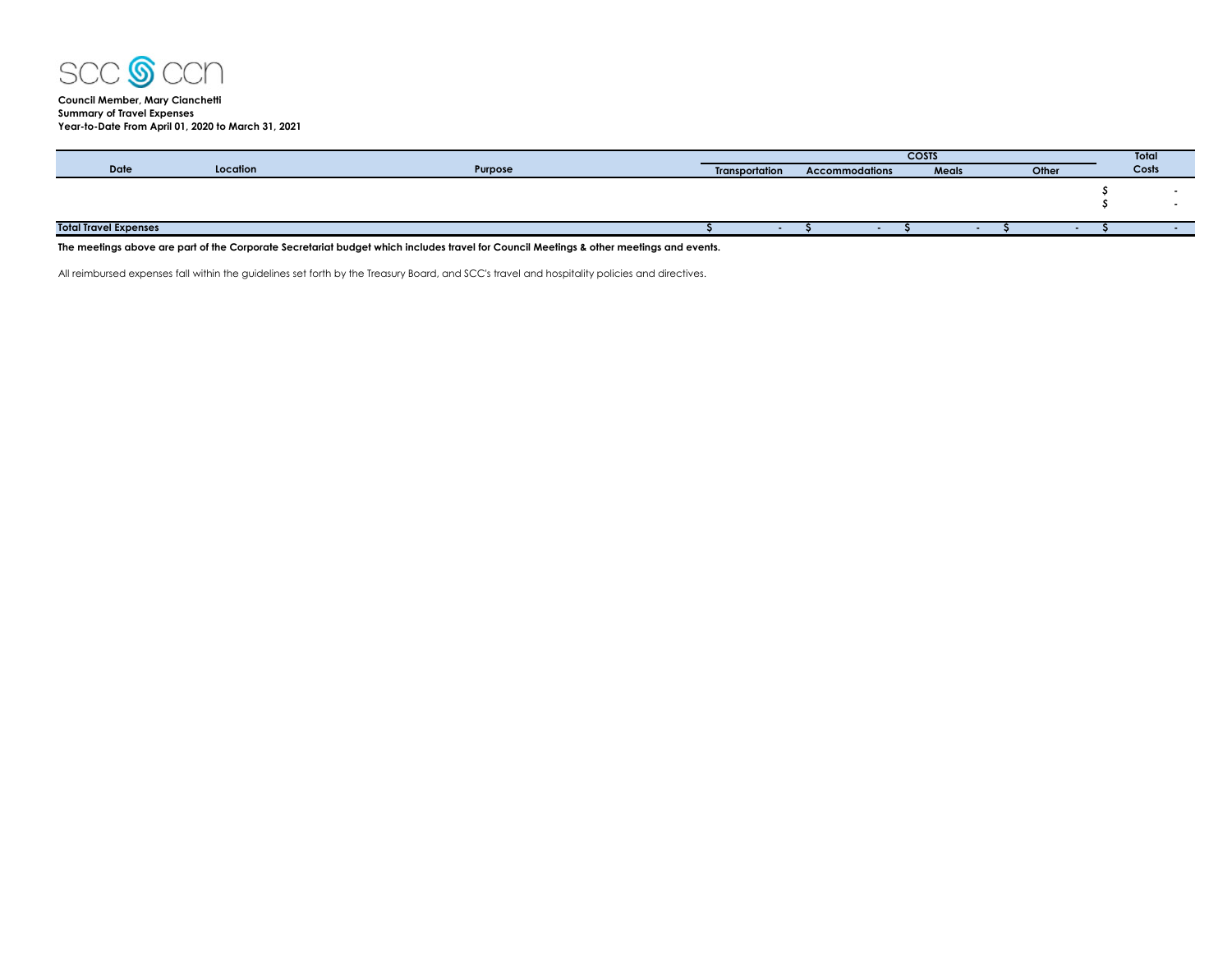

**Council Member, Mary Cianchetti Summary of Travel Expenses Year-to-Date From April 01, 2020 to March 31, 2021**

|                              |          |         | <b>COSTS</b>          |                       |              |  |       |  | Total |
|------------------------------|----------|---------|-----------------------|-----------------------|--------------|--|-------|--|-------|
| <b>Date</b>                  | Location | Purpose | <b>Transportation</b> | <b>Accommodations</b> | <b>Meals</b> |  | Other |  | Costs |
|                              |          |         |                       |                       |              |  |       |  |       |
|                              |          |         |                       |                       |              |  |       |  |       |
|                              |          |         |                       |                       |              |  |       |  |       |
|                              |          |         |                       |                       |              |  |       |  |       |
| <b>Total Travel Expenses</b> |          |         |                       |                       |              |  |       |  |       |

**The meetings above are part of the Corporate Secretariat budget which includes travel for Council Meetings & other meetings and events.**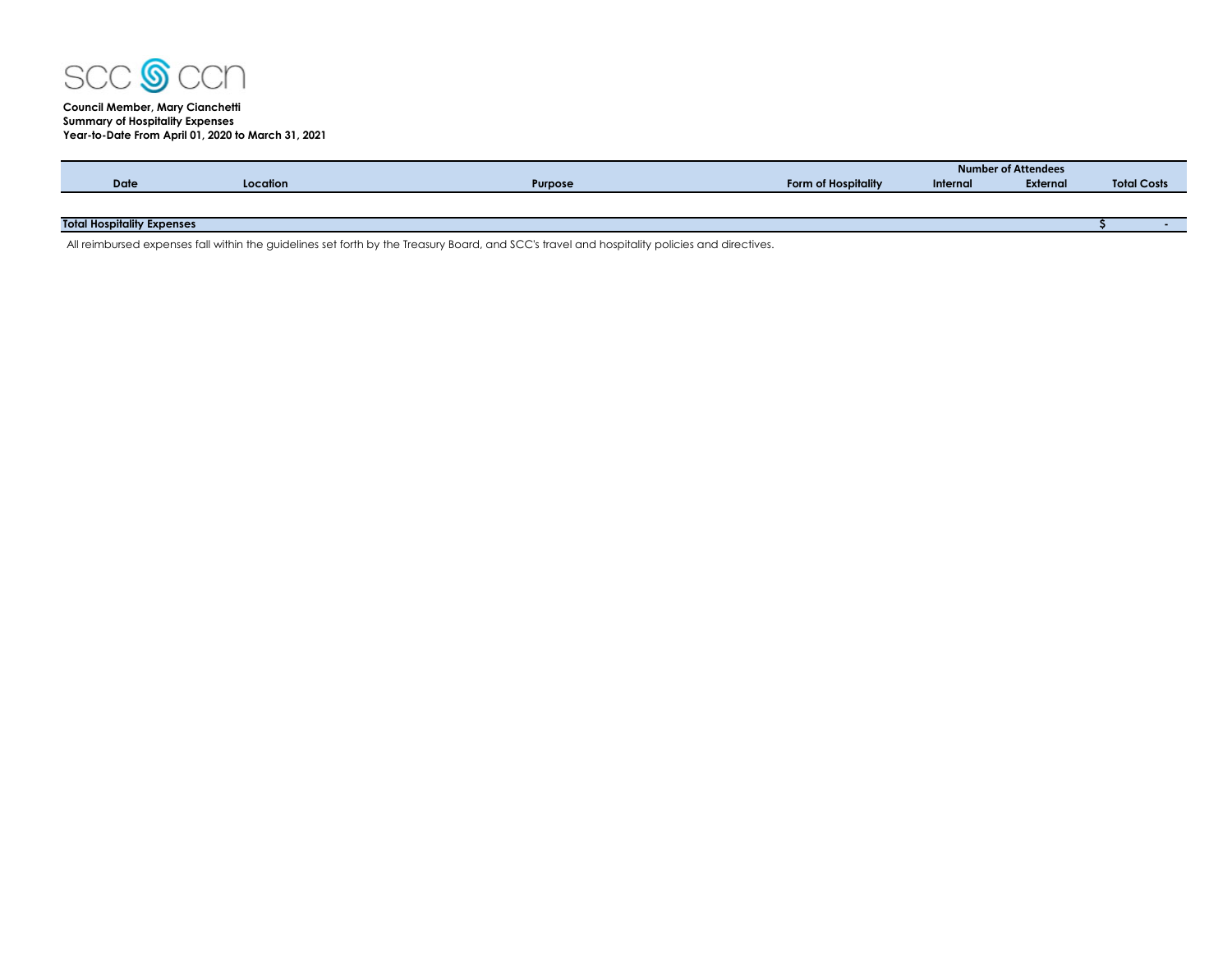

# **Council Member, Mary Cianchetti Summary of Hospitality Expenses Year-to-Date From April 01, 2020 to March 31, 2021**

|                                   |          |                |                     |          | Number of Attendees |                    |  |
|-----------------------------------|----------|----------------|---------------------|----------|---------------------|--------------------|--|
| <b>Date</b>                       | Location | <b>Purpose</b> | Form of Hospitality | Internal | External            | <b>Total Costs</b> |  |
|                                   |          |                |                     |          |                     |                    |  |
|                                   |          |                |                     |          |                     |                    |  |
| <b>Total Hospitality Expenses</b> |          |                |                     |          |                     |                    |  |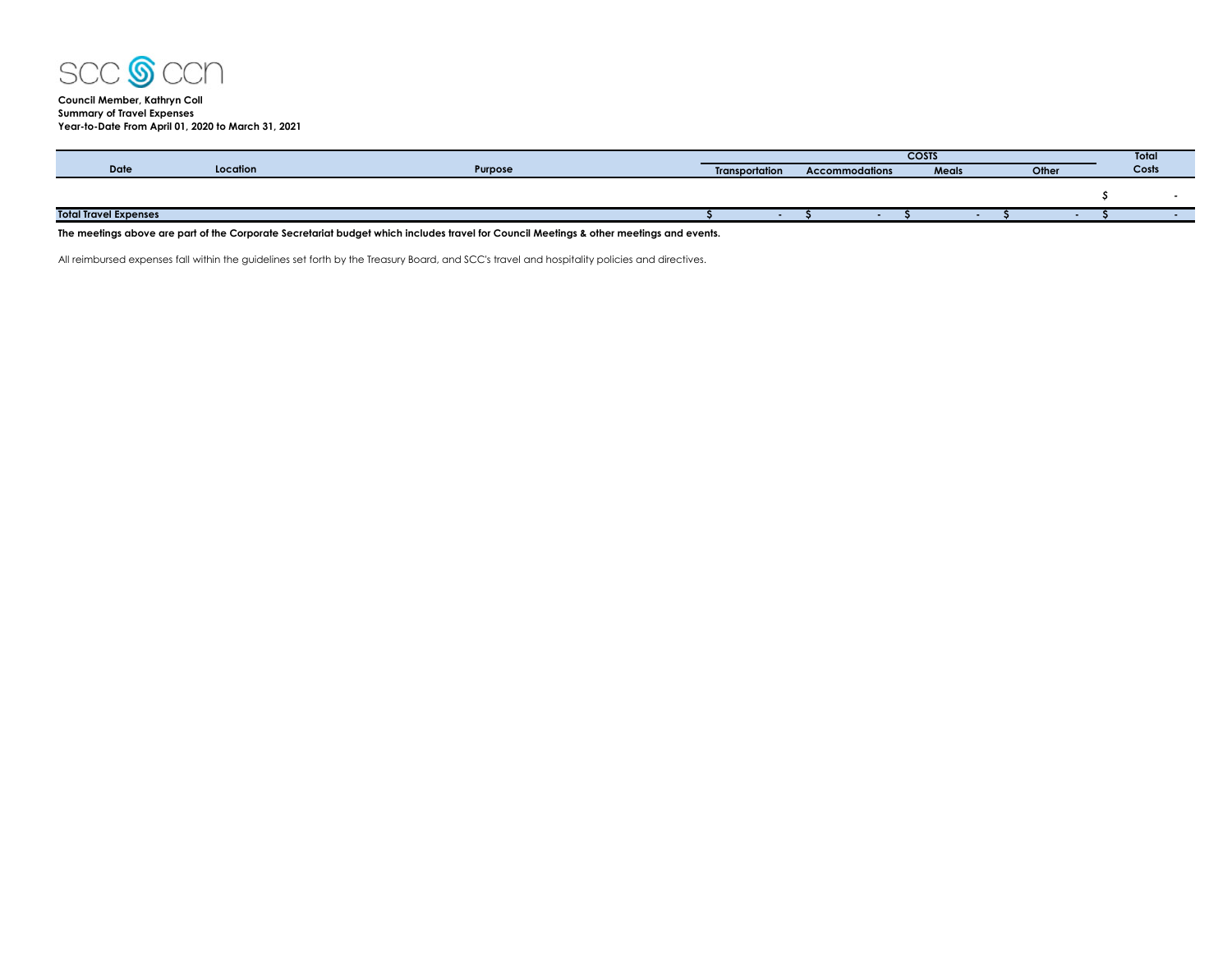

## **Council Member, Kathryn Coll Summary of Travel Expenses Year-to-Date From April 01, 2020 to March 31, 2021**

|                              |          |         | <b>COSTS</b>   |  |                       |       |  |       | Total |
|------------------------------|----------|---------|----------------|--|-----------------------|-------|--|-------|-------|
| Date                         | Location | Purpose | Transportation |  | <b>Accommodations</b> | Meals |  | Other | Costs |
|                              |          |         |                |  |                       |       |  |       |       |
|                              |          |         |                |  |                       |       |  |       |       |
| <b>Total Travel Expenses</b> |          |         |                |  |                       |       |  |       |       |
|                              |          |         |                |  |                       |       |  |       |       |

**The meetings above are part of the Corporate Secretariat budget which includes travel for Council Meetings & other meetings and events.**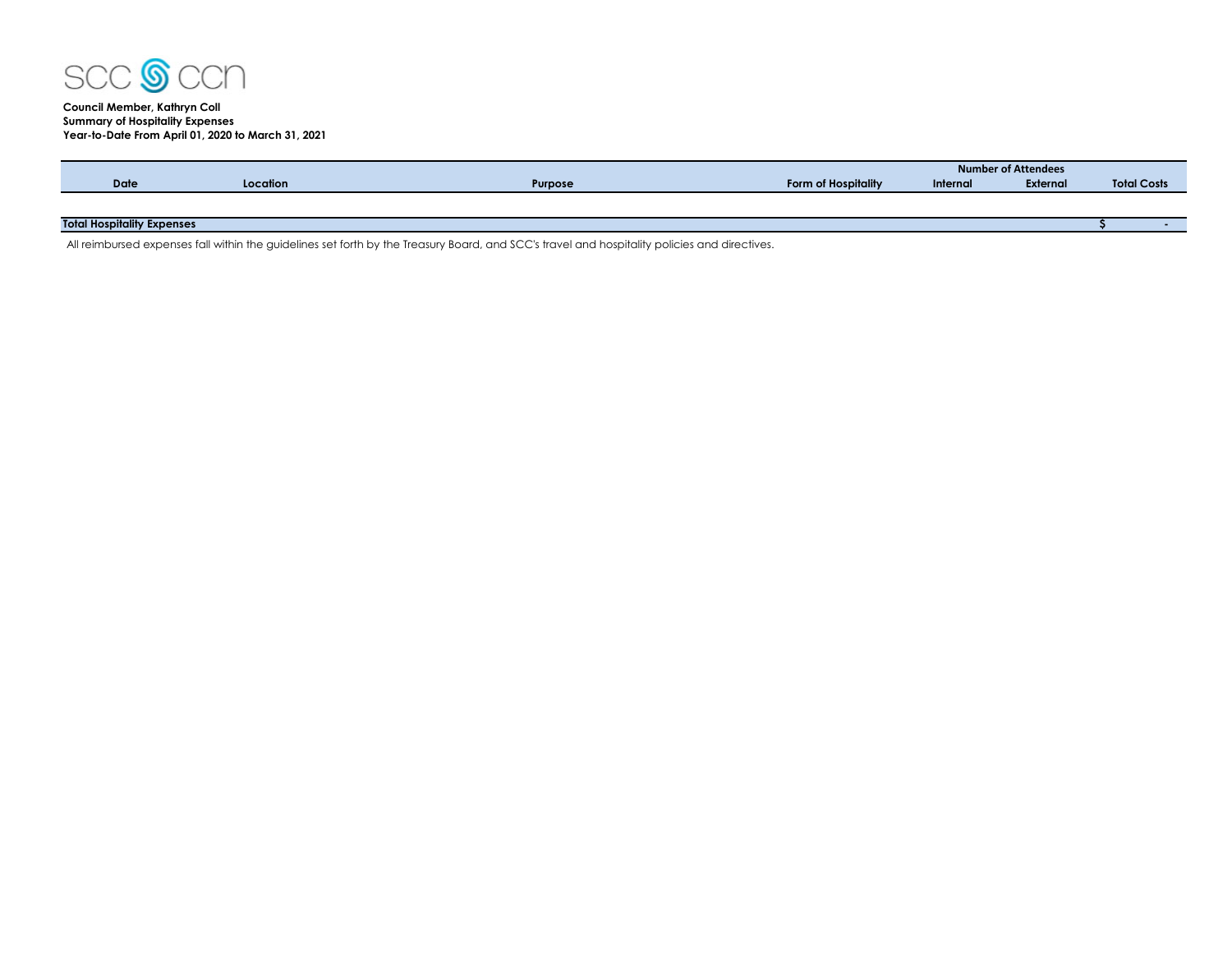

# **Council Member, Kathryn Coll Summary of Hospitality Expenses Year-to-Date From April 01, 2020 to March 31, 2021**

|                                   |          |         |                     | Number of Attendees |                 |                    |  |  |  |  |
|-----------------------------------|----------|---------|---------------------|---------------------|-----------------|--------------------|--|--|--|--|
| <b>Date</b>                       | Location | Purpose | Form of Hospitality | Internal            | <b>External</b> | <b>Total Costs</b> |  |  |  |  |
|                                   |          |         |                     |                     |                 |                    |  |  |  |  |
|                                   |          |         |                     |                     |                 |                    |  |  |  |  |
| <b>Total Hospitality Expenses</b> |          |         |                     |                     |                 |                    |  |  |  |  |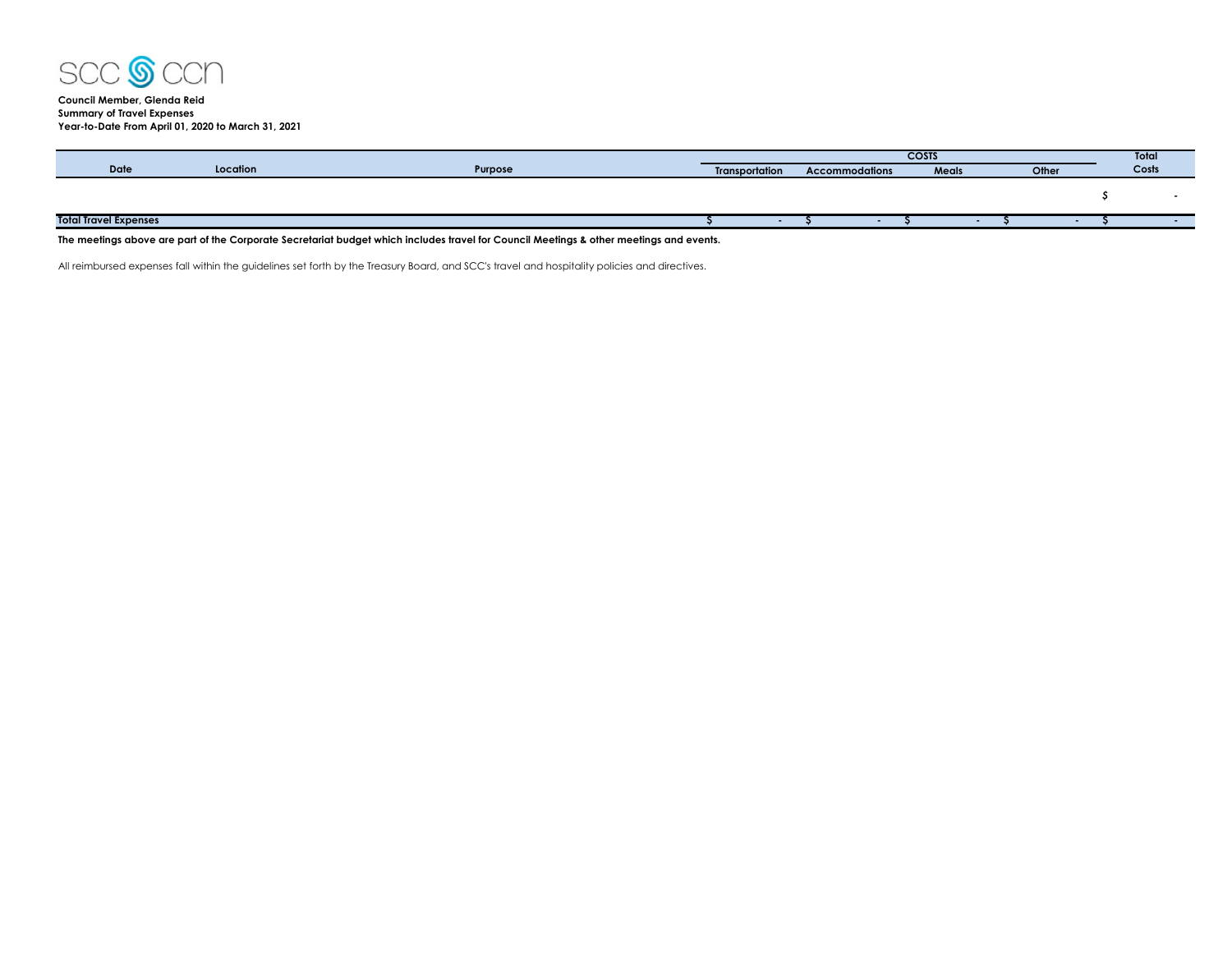

## **Council Member, Glenda Reid Summary of Travel Expenses Year-to-Date From April 01, 2020 to March 31, 2021**

|                              |          |         | <b>COSTS</b>          |  |                       |  |  | Total |  |       |       |
|------------------------------|----------|---------|-----------------------|--|-----------------------|--|--|-------|--|-------|-------|
| <b>Date</b>                  | Location | Purpose | <b>Transportation</b> |  | <b>Accommodations</b> |  |  | Meals |  | Other | Costs |
|                              |          |         |                       |  |                       |  |  |       |  |       |       |
|                              |          |         |                       |  |                       |  |  |       |  |       |       |
|                              |          |         |                       |  |                       |  |  |       |  |       |       |
| <b>Total Travel Expenses</b> |          |         |                       |  |                       |  |  |       |  |       |       |
|                              |          |         |                       |  |                       |  |  |       |  |       |       |

**The meetings above are part of the Corporate Secretariat budget which includes travel for Council Meetings & other meetings and events.**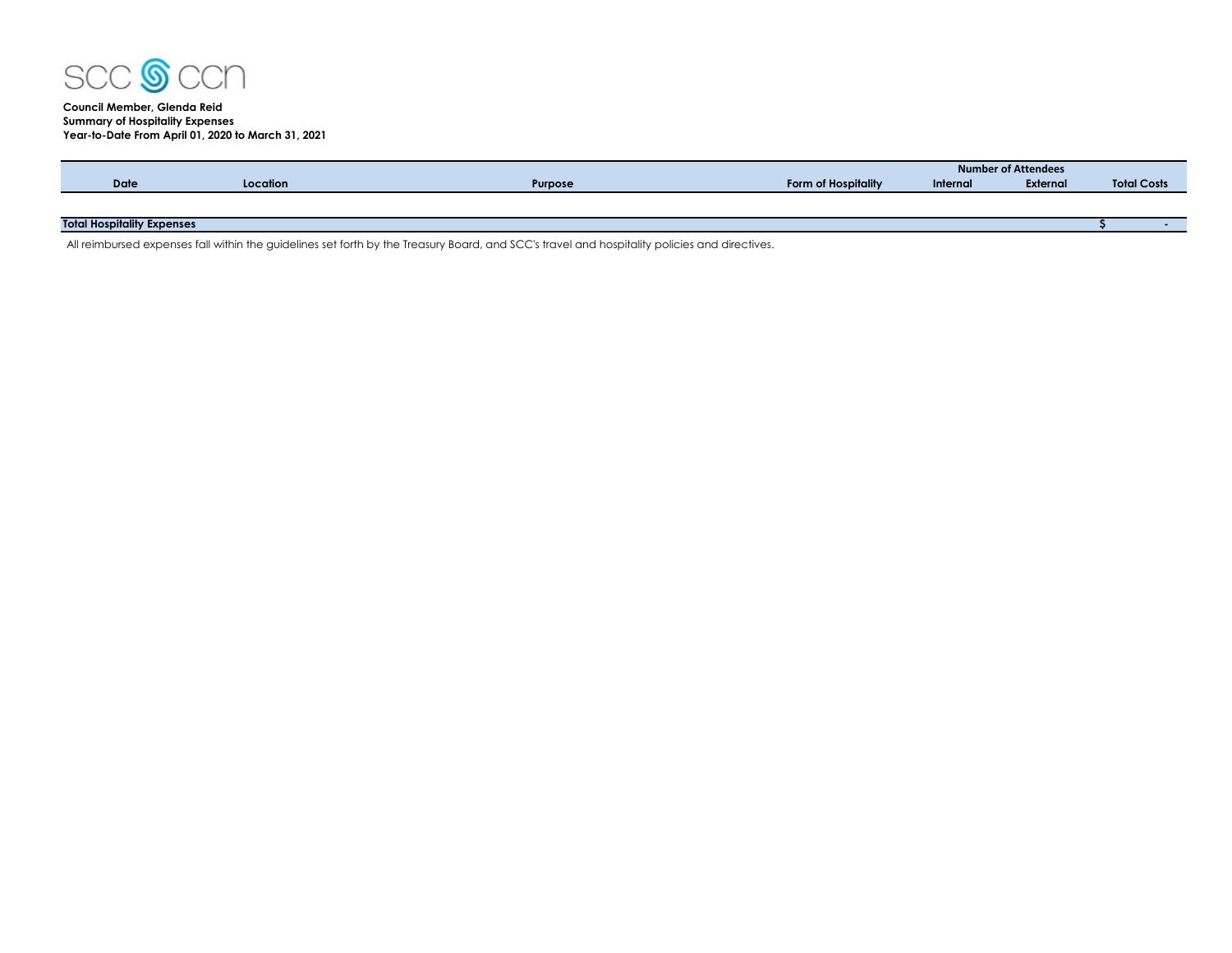

# **Council Member, Glenda Reid Summary of Hospitality Expenses Year-to-Date From April 01, 2020 to March 31, 2021**

|                                   |          |                |                     |          | <b>Number of Attendees</b> |                    |  |
|-----------------------------------|----------|----------------|---------------------|----------|----------------------------|--------------------|--|
| <b>Date</b>                       | Location | <b>Purpose</b> | Form of Hospitality | Internal | External                   | <b>Total Costs</b> |  |
|                                   |          |                |                     |          |                            |                    |  |
|                                   |          |                |                     |          |                            |                    |  |
| <b>Total Hospitality Expenses</b> |          |                |                     |          |                            |                    |  |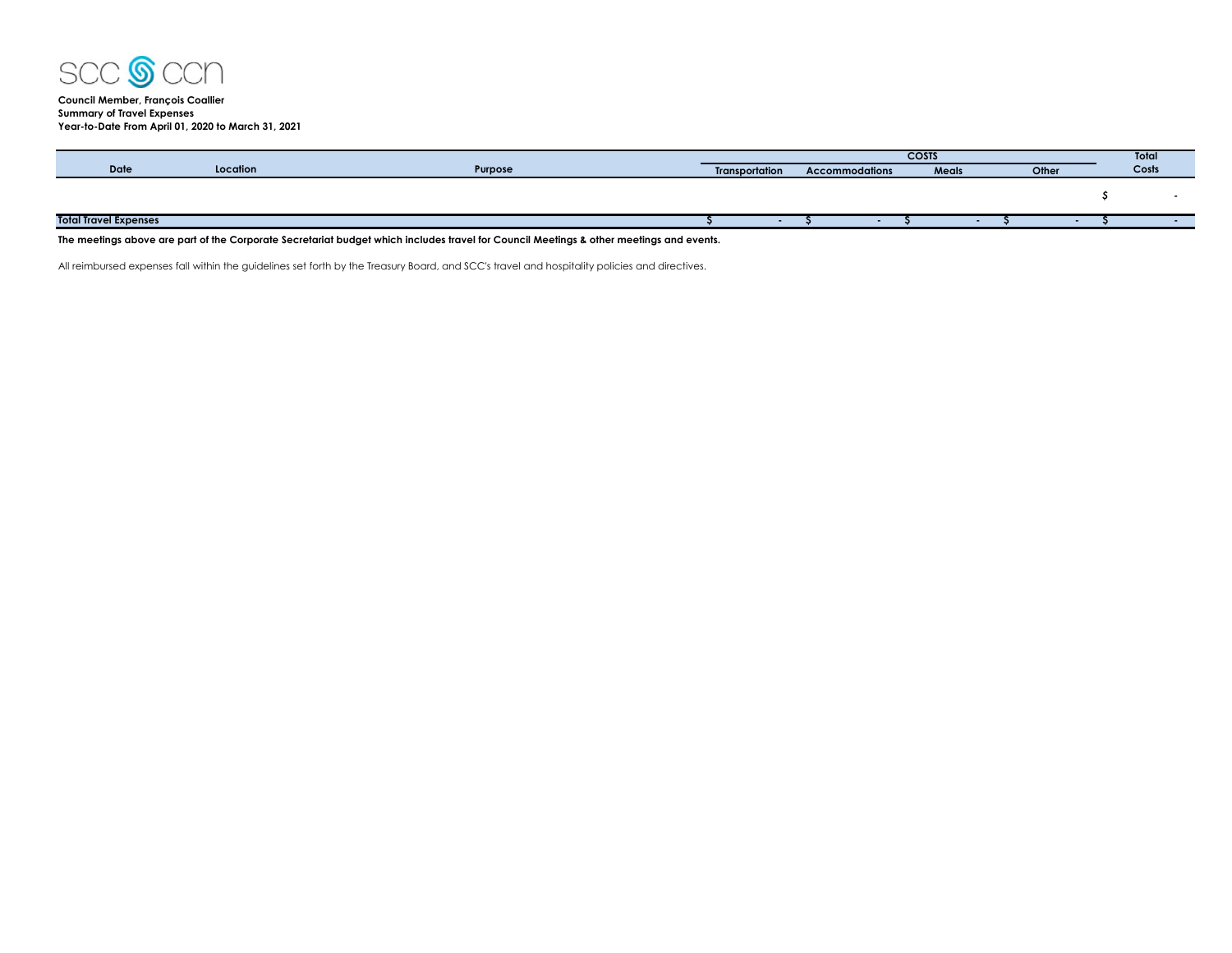

**Council Member, François Coallier Summary of Travel Expenses Year-to-Date From April 01, 2020 to March 31, 2021**

|                              |          |         | <b>COSTS</b>          |  |                       |  |       |  | <b>Total</b> |       |
|------------------------------|----------|---------|-----------------------|--|-----------------------|--|-------|--|--------------|-------|
| Date                         | Location | Purpose | <b>Transportation</b> |  | <b>Accommodations</b> |  | Meals |  | Other        | Costs |
|                              |          |         |                       |  |                       |  |       |  |              |       |
|                              |          |         |                       |  |                       |  |       |  |              |       |
|                              |          |         |                       |  |                       |  |       |  |              |       |
| <b>Total Travel Expenses</b> |          |         |                       |  |                       |  |       |  |              |       |
|                              |          |         |                       |  |                       |  |       |  |              |       |

**The meetings above are part of the Corporate Secretariat budget which includes travel for Council Meetings & other meetings and events.**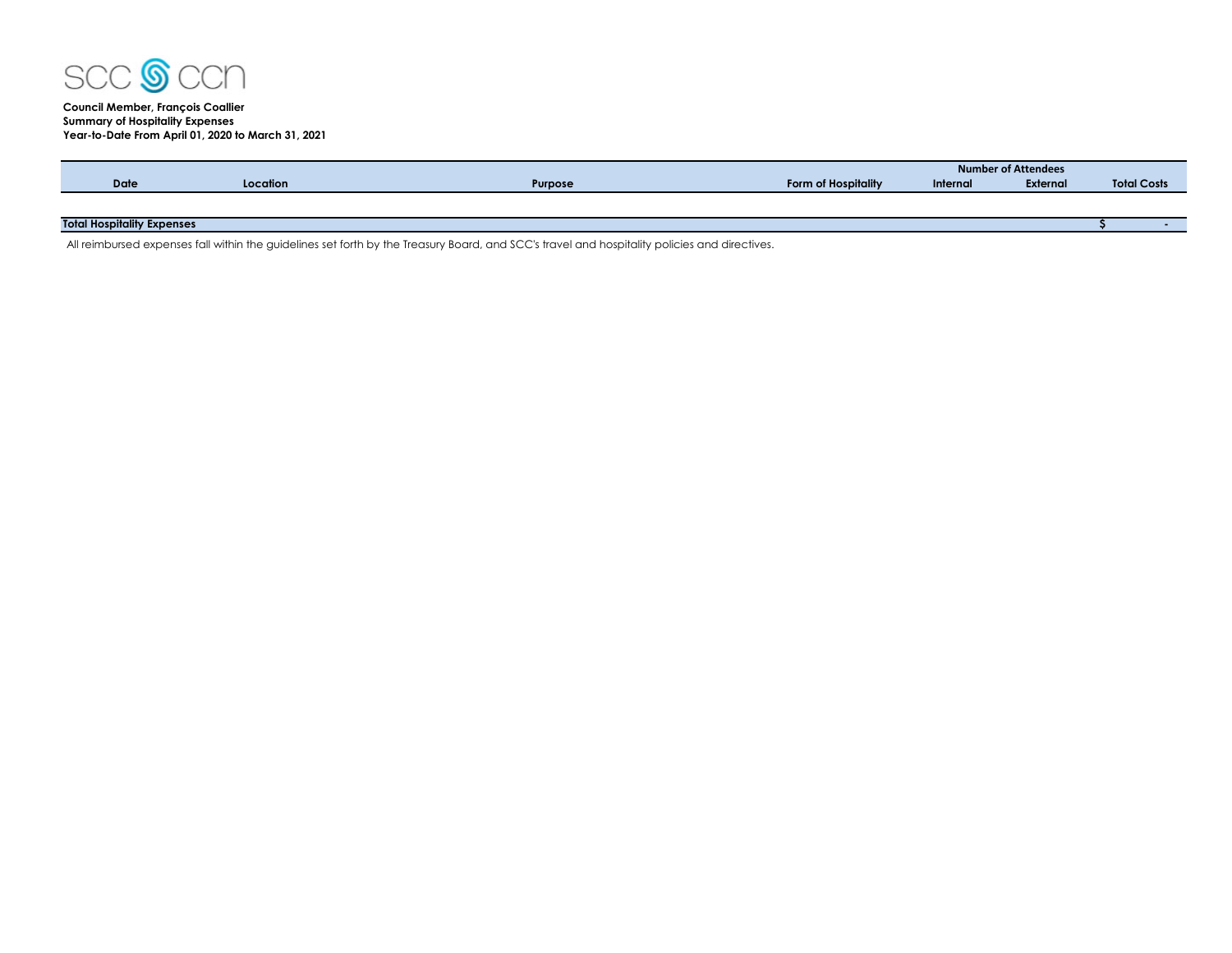

# **Council Member, François Coallier Summary of Hospitality Expenses Year-to-Date From April 01, 2020 to March 31, 2021**

|                                   |          |                |                     |          | <b>Number of Attendees</b> |                    |  |
|-----------------------------------|----------|----------------|---------------------|----------|----------------------------|--------------------|--|
| Date                              | Location | <b>Purpose</b> | Form of Hospitality | Internal | External                   | <b>Total Costs</b> |  |
|                                   |          |                |                     |          |                            |                    |  |
|                                   |          |                |                     |          |                            |                    |  |
| <b>Total Hospitality Expenses</b> |          |                |                     |          |                            |                    |  |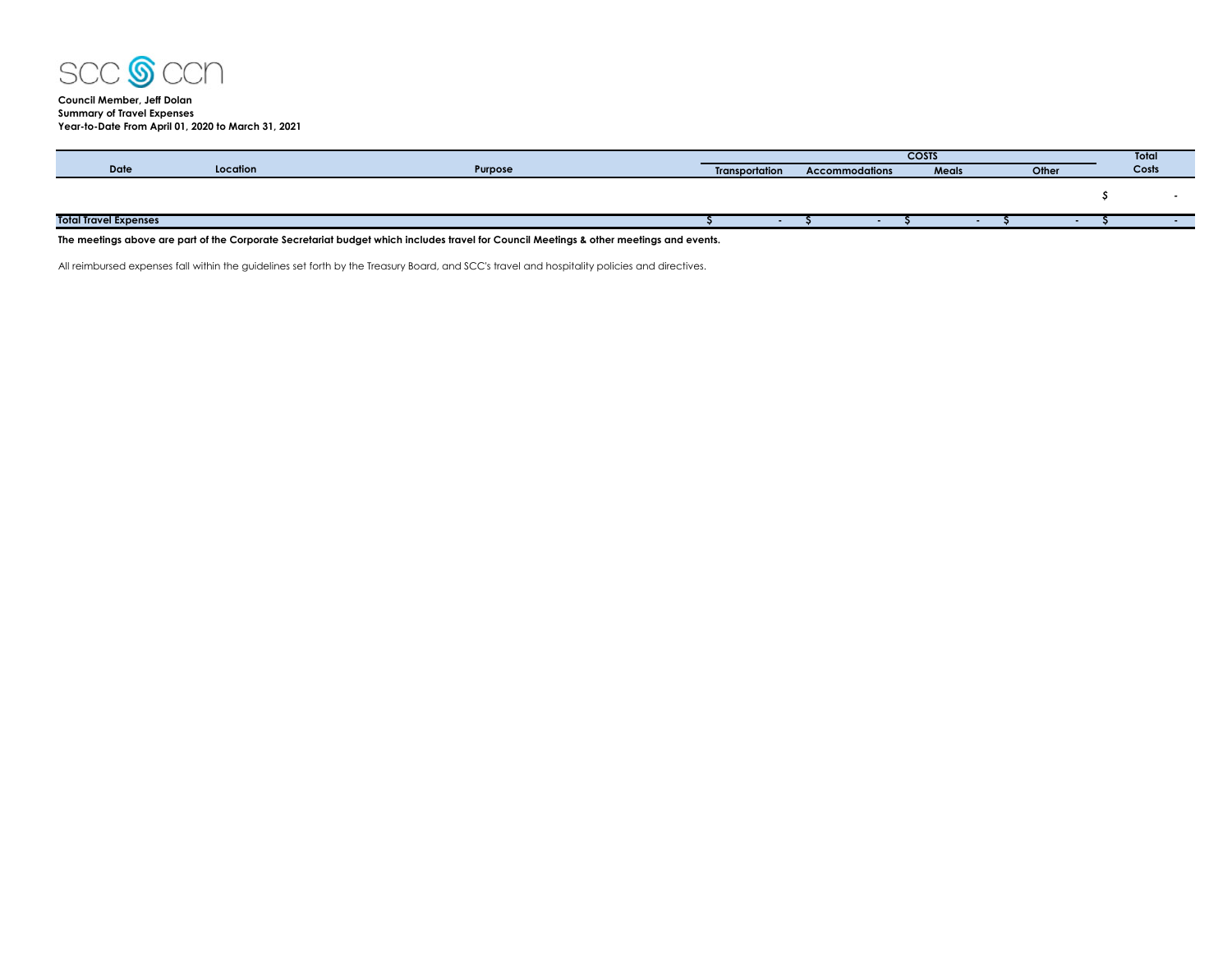

## **Council Member, Jeff Dolan Summary of Travel Expenses Year-to-Date From April 01, 2020 to March 31, 2021**

|                              |          |                                                                                                                | <b>COSTS</b>          |  |                       |       |  | Total |       |
|------------------------------|----------|----------------------------------------------------------------------------------------------------------------|-----------------------|--|-----------------------|-------|--|-------|-------|
| <b>Date</b>                  | Location | Purpose                                                                                                        | <b>Transportation</b> |  | <b>Accommodations</b> | Meals |  | Other | Costs |
|                              |          |                                                                                                                |                       |  |                       |       |  |       |       |
|                              |          |                                                                                                                |                       |  |                       |       |  |       |       |
|                              |          |                                                                                                                |                       |  |                       |       |  |       |       |
| <b>Total Travel Expenses</b> |          |                                                                                                                |                       |  |                       |       |  |       |       |
| ___                          |          | rando de la caracción de la caracción de la caracción de la caracción de la caracción de la caracción de la ca |                       |  |                       |       |  |       |       |

**The meetings above are part of the Corporate Secretariat budget which includes travel for Council Meetings & other meetings and events.**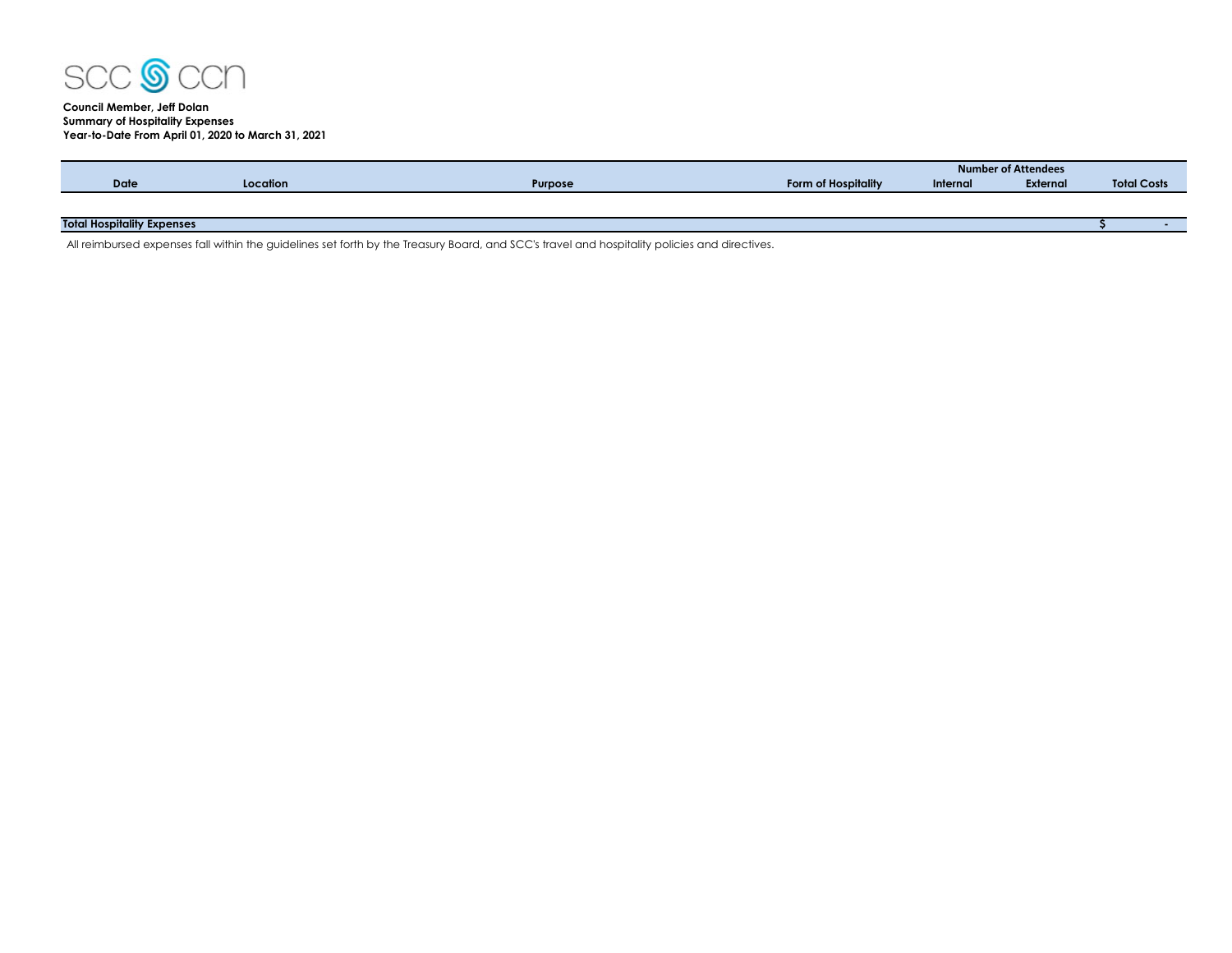

## **Council Member, Jeff Dolan Summary of Hospitality Expenses Year-to-Date From April 01, 2020 to March 31, 2021**

|                                   |          |                |                     |          | Number of Attendees |                    |
|-----------------------------------|----------|----------------|---------------------|----------|---------------------|--------------------|
| <b>Date</b>                       | Location | <b>Purpose</b> | Form of Hospitality | Internal | <b>External</b>     | <b>Total Costs</b> |
|                                   |          |                |                     |          |                     |                    |
|                                   |          |                |                     |          |                     |                    |
| <b>Total Hospitality Expenses</b> |          |                |                     |          |                     | . .                |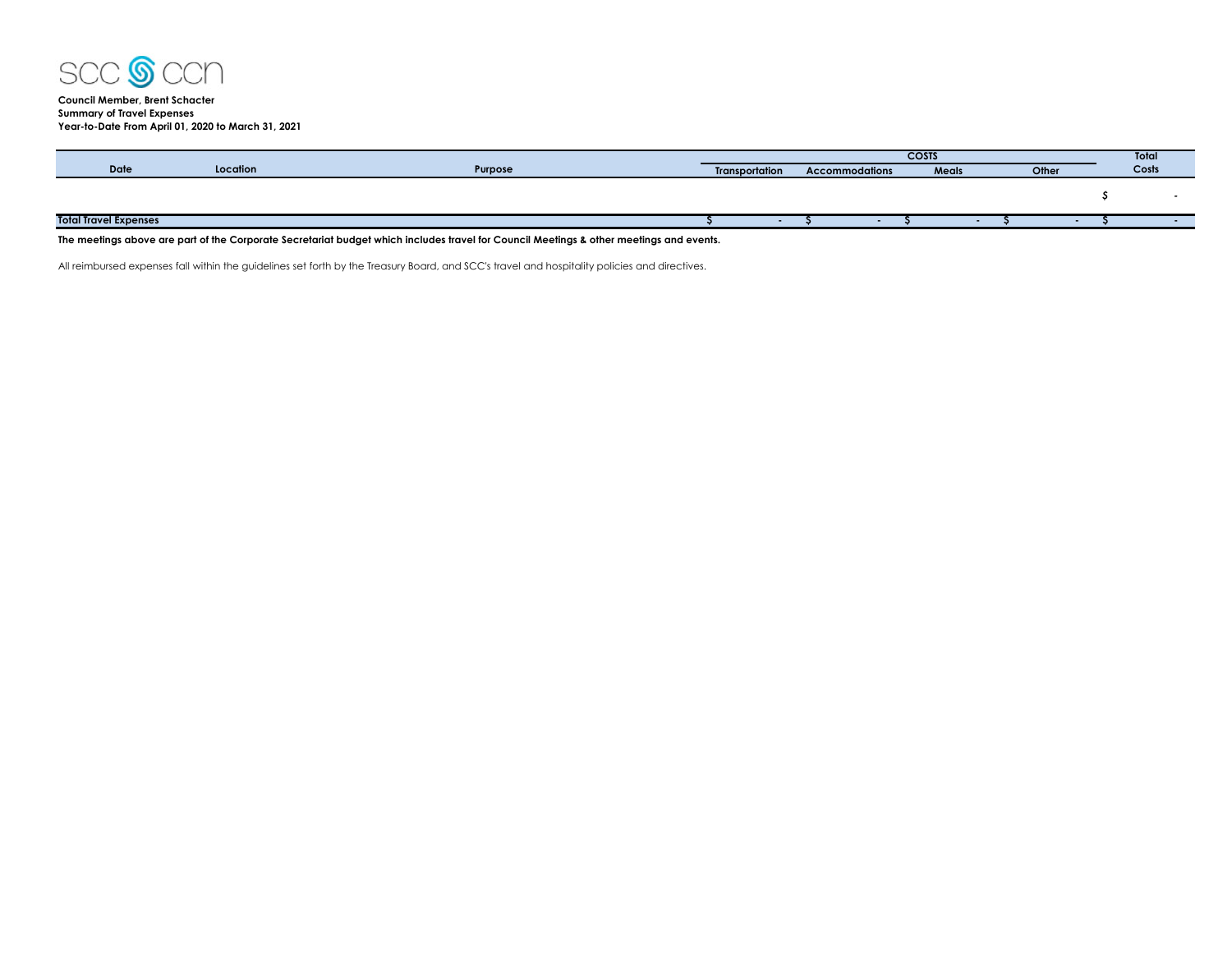

## **Council Member, Brent Schacter Summary of Travel Expenses Year-to-Date From April 01, 2020 to March 31, 2021**

|                              |          |         | <b>COSTS</b>          |  |                       |  |       |  |       | Total |
|------------------------------|----------|---------|-----------------------|--|-----------------------|--|-------|--|-------|-------|
| <b>Date</b>                  | Location | Purpose | <b>Transportation</b> |  | <b>Accommodations</b> |  | Meals |  | Other | Costs |
|                              |          |         |                       |  |                       |  |       |  |       |       |
|                              |          |         |                       |  |                       |  |       |  |       |       |
|                              |          |         |                       |  |                       |  |       |  |       |       |
| <b>Total Travel Expenses</b> |          |         |                       |  |                       |  |       |  |       |       |
| $-$<br>$\sim$ $\sim$ $\sim$  |          | $\sim$  |                       |  |                       |  |       |  |       |       |

**The meetings above are part of the Corporate Secretariat budget which includes travel for Council Meetings & other meetings and events.**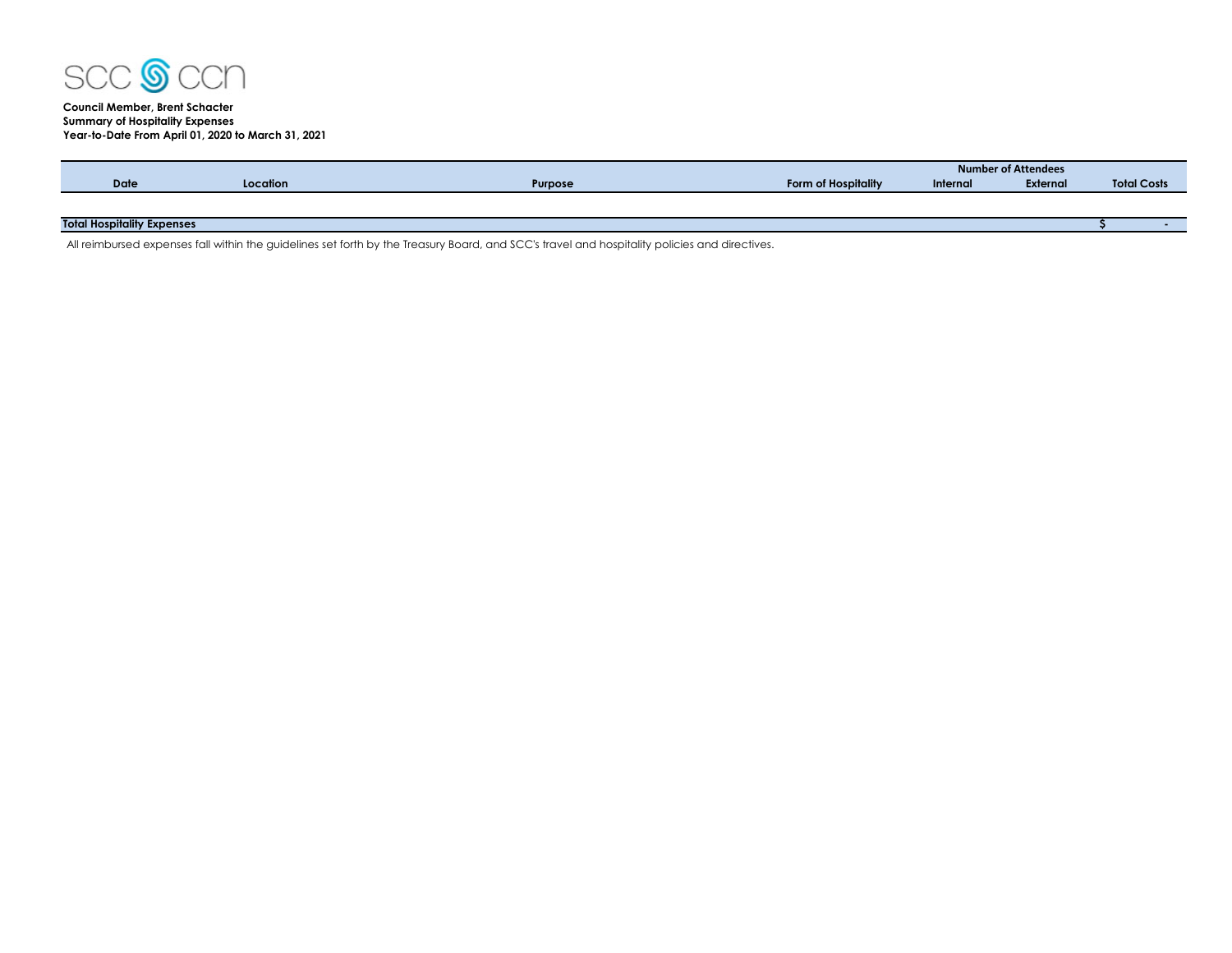

# **Council Member, Brent Schacter Summary of Hospitality Expenses Year-to-Date From April 01, 2020 to March 31, 2021**

|                                   |          |                |                     | Number of Attendees |          |                    |  |  |  |  |
|-----------------------------------|----------|----------------|---------------------|---------------------|----------|--------------------|--|--|--|--|
| <b>Date</b>                       | Location | <b>Purpose</b> | Form of Hospitality | Internal            | External | <b>Total Costs</b> |  |  |  |  |
|                                   |          |                |                     |                     |          |                    |  |  |  |  |
|                                   |          |                |                     |                     |          |                    |  |  |  |  |
| <b>Total Hospitality Expenses</b> |          |                |                     |                     |          |                    |  |  |  |  |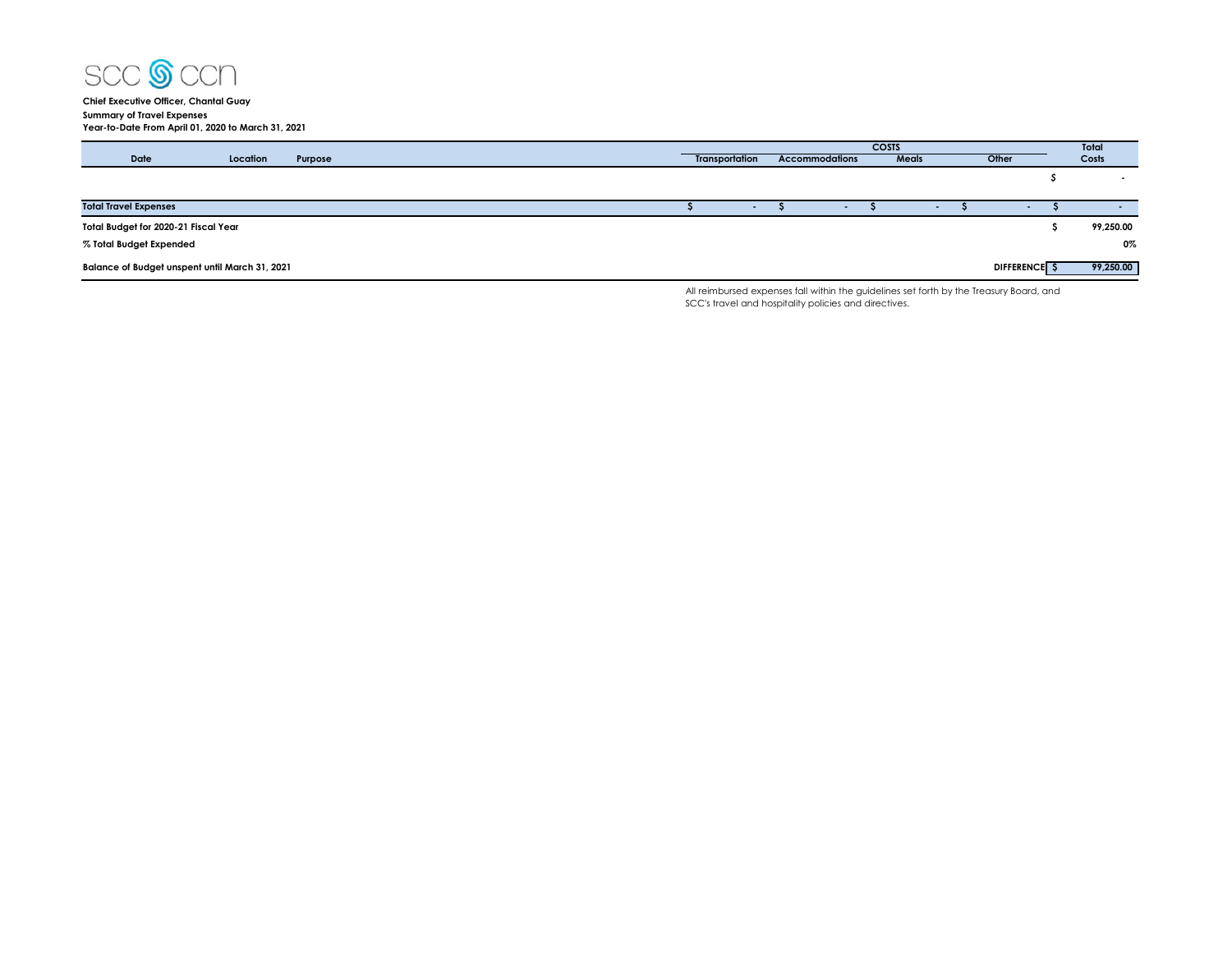

**Chief Executive Officer, Chantal Guay Summary of Travel Expenses Year-to-Date From April 01, 2020 to March 31, 2021**

|                                                |          |         |                |        | <b>COSTS</b>          |     |        | Total               |            |           |
|------------------------------------------------|----------|---------|----------------|--------|-----------------------|-----|--------|---------------------|------------|-----------|
| Date                                           | Location | Purpose | Transportation |        | <b>Accommodations</b> |     | Meals  | Other               |            | Costs     |
|                                                |          |         |                |        |                       |     |        |                     |            |           |
|                                                |          |         |                |        |                       |     |        |                     |            |           |
| <b>Total Travel Expenses</b>                   |          |         |                | $\sim$ |                       | . . | $\sim$ |                     | <b>COL</b> | $\sim$    |
| Total Budget for 2020-21 Fiscal Year           |          |         |                |        |                       |     |        |                     |            | 99,250.00 |
| % Total Budget Expended                        |          |         |                |        |                       |     |        |                     |            | 0%        |
| Balance of Budget unspent until March 31, 2021 |          |         |                |        |                       |     |        | <b>DIFFERENCE</b> S |            | 99,250.00 |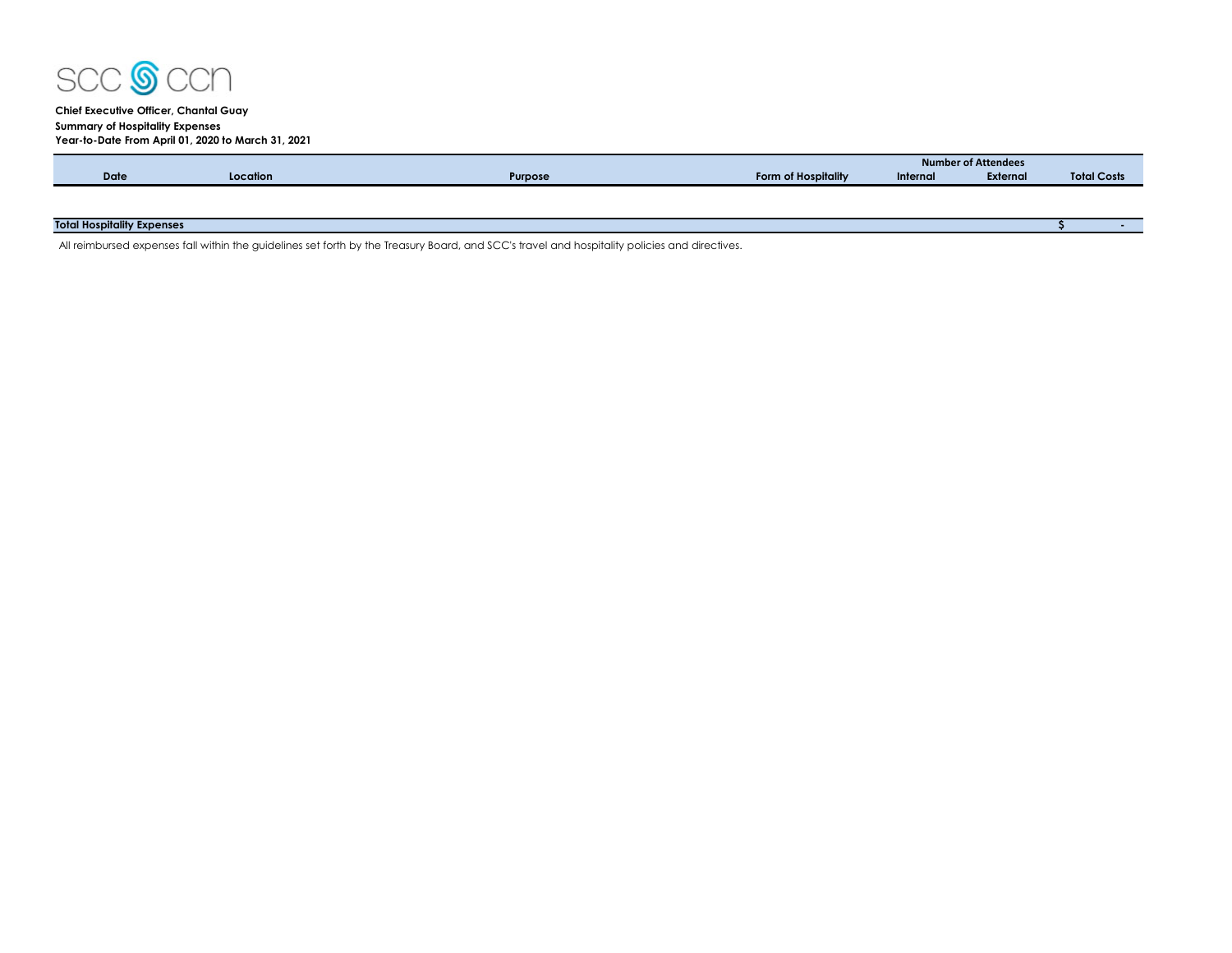

## **Chief Executive Officer, Chantal Guay Summary of Hospitality Expenses**

|             | Year-to-Date From April 01, 2020 to March 31, 2021 |         |                     |                            |          |                    |  |  |  |
|-------------|----------------------------------------------------|---------|---------------------|----------------------------|----------|--------------------|--|--|--|
|             |                                                    |         |                     | <b>Number of Attendees</b> |          |                    |  |  |  |
| <b>Date</b> | Location                                           | Purpose | Form of Hospitality | Internal                   | External | <b>Total Costs</b> |  |  |  |
|             |                                                    |         |                     |                            |          |                    |  |  |  |
|             |                                                    |         |                     |                            |          |                    |  |  |  |

## **Total Hospitality Expenses \$ -**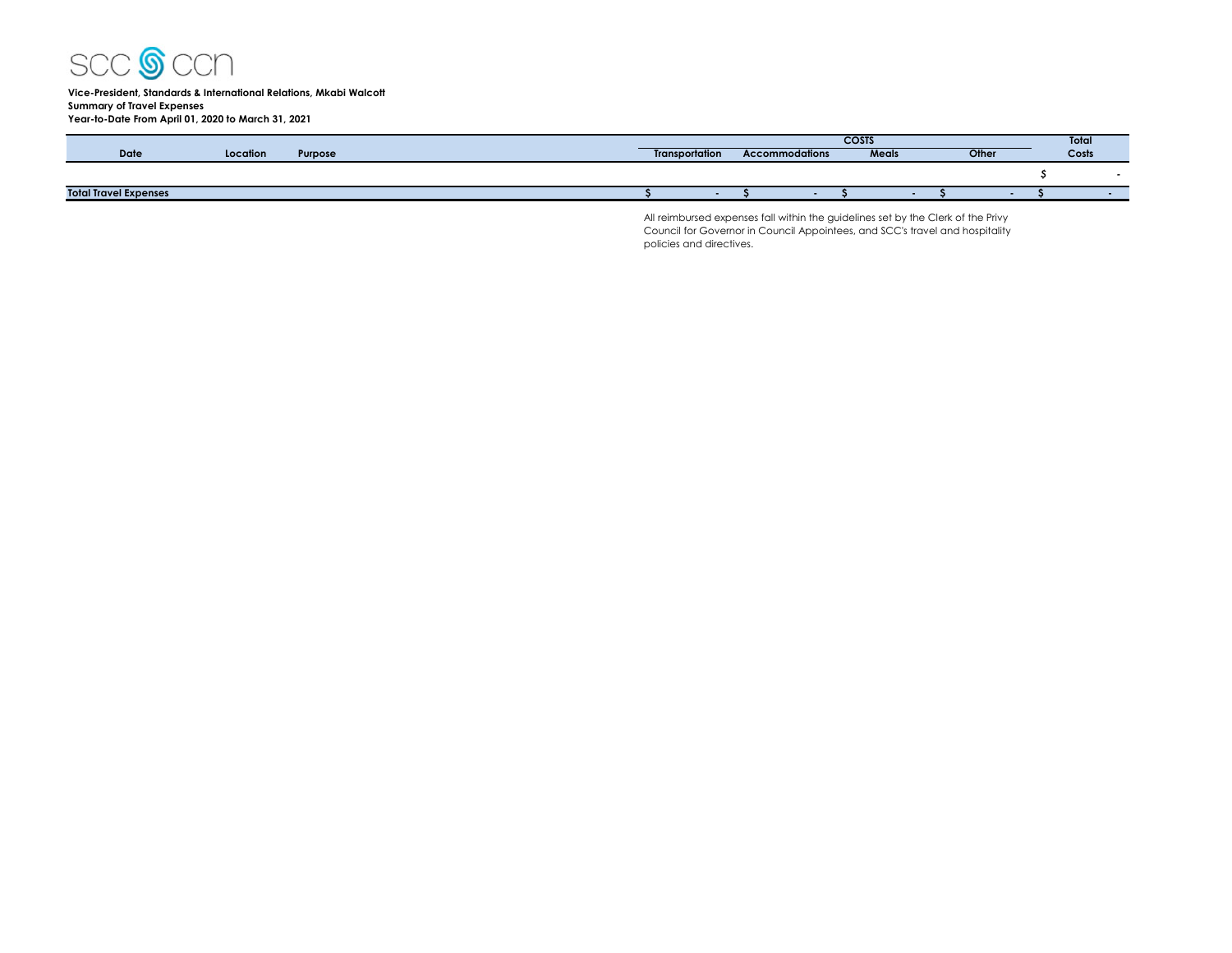

#### **Vice-President, Standards & International Relations, Mkabi Walcott Summary of Travel Expenses Year-to-Date From April 01, 2020 to March 31, 2021**

|                              |          |                |                       | Total                 |       |       |       |  |
|------------------------------|----------|----------------|-----------------------|-----------------------|-------|-------|-------|--|
| Date                         | Location | <b>Purpose</b> | <b>Transportation</b> | <b>Accommodations</b> | Meals | Other | COSTS |  |
|                              |          |                |                       |                       |       |       |       |  |
| <b>Total Travel Expenses</b> |          |                |                       |                       |       |       |       |  |

All reimbursed expenses fall within the guidelines set by the Clerk of the Privy Council for Governor in Council Appointees, and SCC's travel and hospitality policies and directives.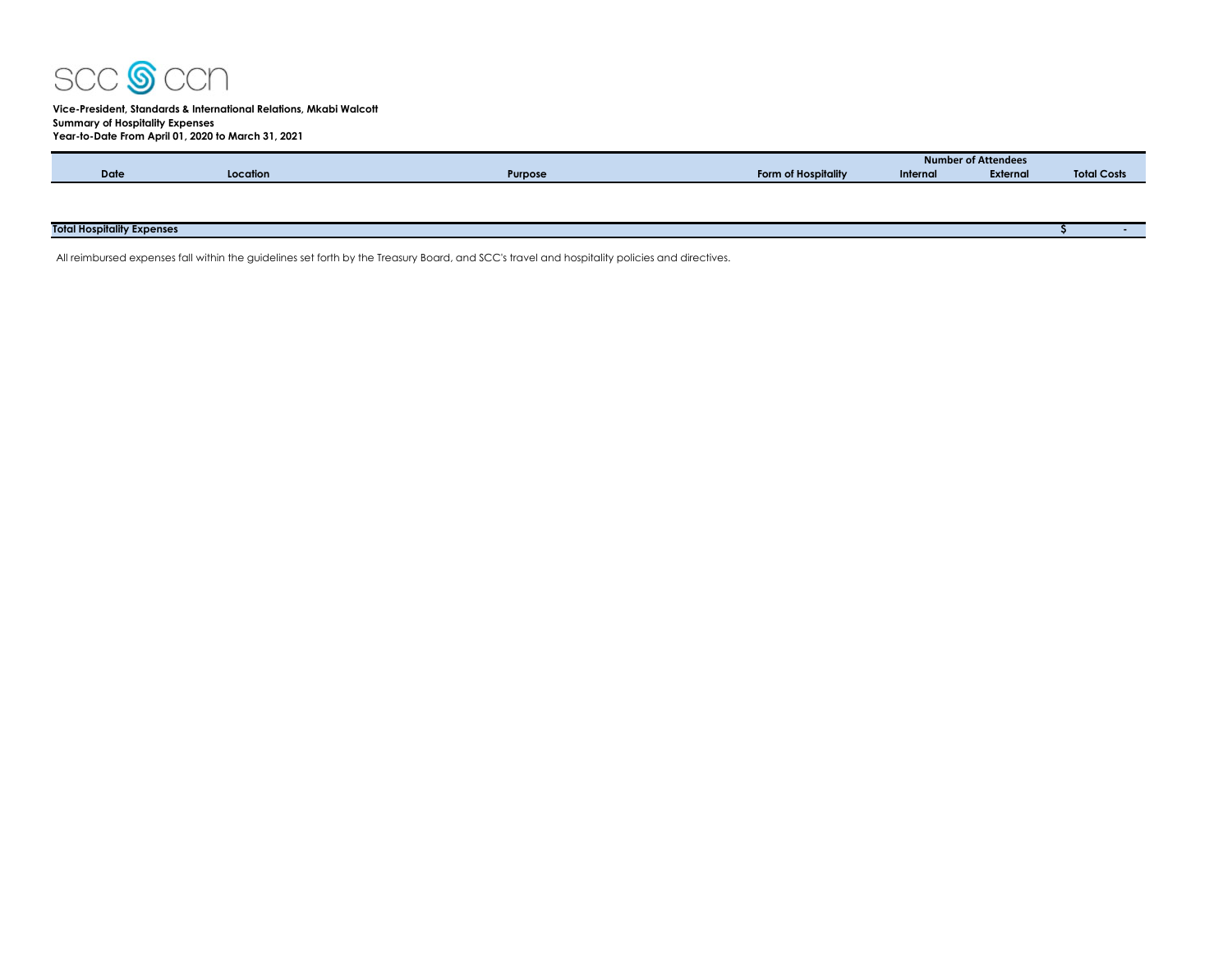

## **Vice-President, Standards & International Relations, Mkabi Walcott Summary of Hospitality Expenses Year-to-Date From April 01, 2020 to March 31, 2021**

|                                   |          |         |                     | <b>Number of Attendees</b> |          |                    |  |  |  |
|-----------------------------------|----------|---------|---------------------|----------------------------|----------|--------------------|--|--|--|
| <b>Date</b>                       | Location | Purpose | Form of Hospitality | Internal                   | External | <b>Total Costs</b> |  |  |  |
|                                   |          |         |                     |                            |          |                    |  |  |  |
|                                   |          |         |                     |                            |          |                    |  |  |  |
|                                   |          |         |                     |                            |          |                    |  |  |  |
| <b>Total Hospitality Expenses</b> |          |         |                     |                            |          |                    |  |  |  |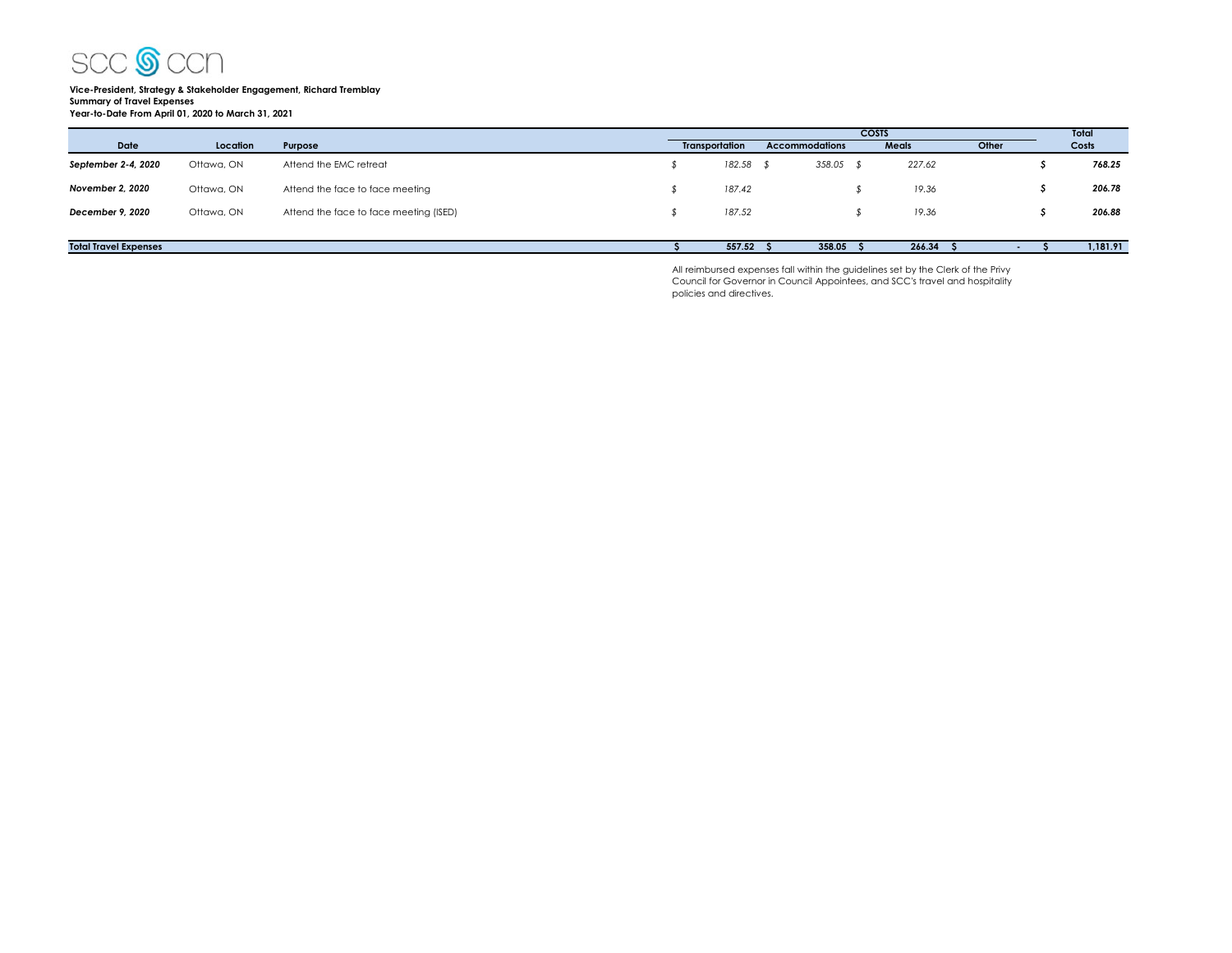

# **Vice-President, Strategy & Stakeholder Engagement, Richard Tremblay Summary of Travel Expenses Year-to-Date From April 01, 2020 to March 31, 2021**

|                              |            |                                        |                       |           |                       | <b>COSTS</b> |              |       |  | Total    |
|------------------------------|------------|----------------------------------------|-----------------------|-----------|-----------------------|--------------|--------------|-------|--|----------|
| <b>Date</b>                  | Location   | Purpose                                | <b>Transportation</b> |           | <b>Accommodations</b> |              | <b>Meals</b> | Other |  | Costs    |
| September 2-4, 2020          | Ottawa, ON | Attend the EMC retreat                 |                       | 182.58 \$ | $358.05$ \$           |              | 227.62       |       |  | 768.25   |
| November 2, 2020             | Ottawa, ON | Attend the face to face meeting        |                       | 187.42    |                       |              | 19.36        |       |  | 206.78   |
| December 9, 2020             | Ottawa, ON | Attend the face to face meeting (ISED) |                       | 187.52    |                       |              | 19.36        |       |  | 206.88   |
|                              |            |                                        |                       |           |                       |              |              |       |  |          |
| <b>Total Travel Expenses</b> |            |                                        |                       | 557.52    | 358.05                |              | 266.34       |       |  | 1,181.91 |

All reimbursed expenses fall within the guidelines set by the Clerk of the Privy Council for Governor in Council Appointees, and SCC's travel and hospitality policies and directives.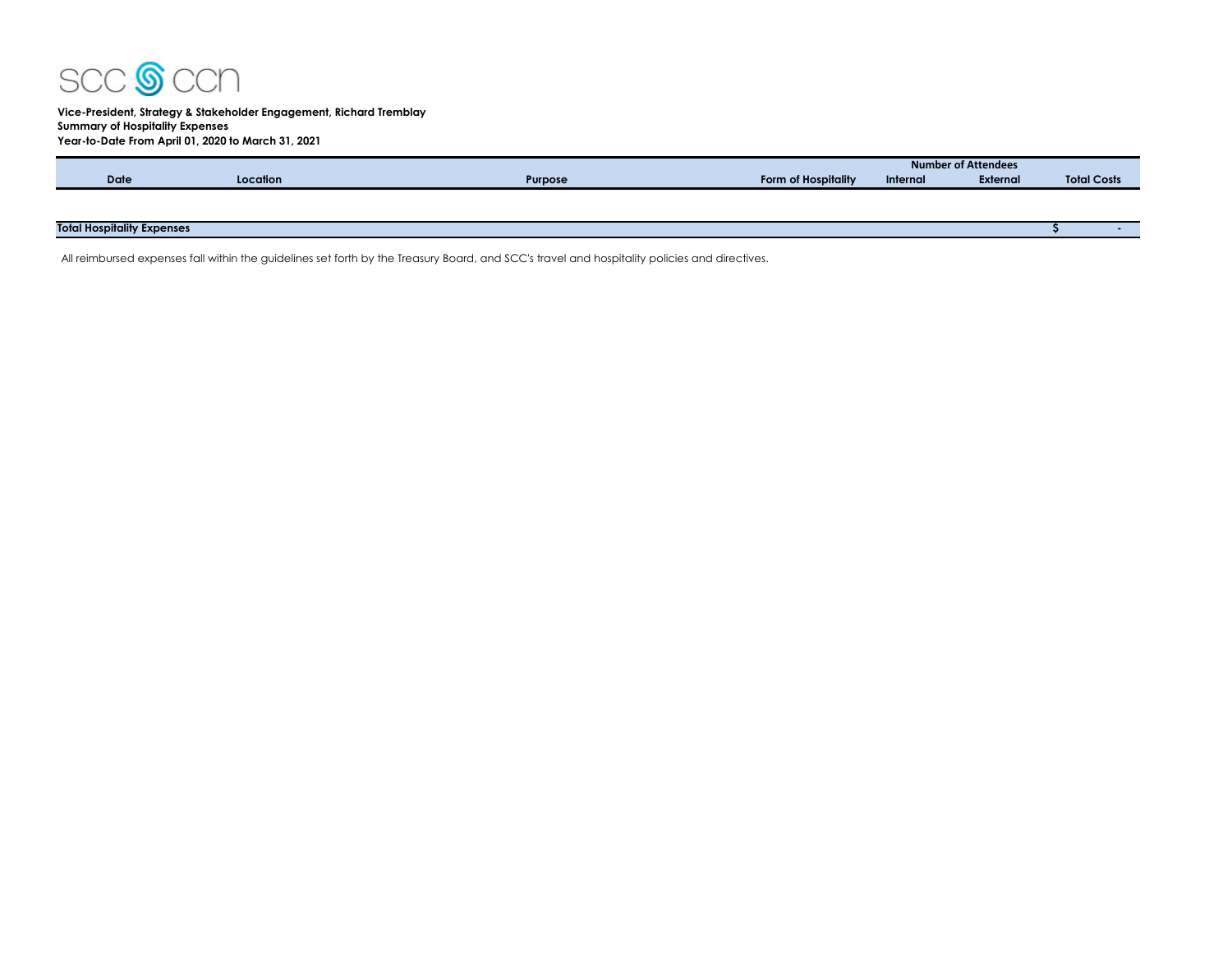

## **Vice-President, Strategy & Stakeholder Engagement, Richard Tremblay Summary of Hospitality Expenses Year-to-Date From April 01, 2020 to March 31, 2021**

|             |          |         |                            | <b>Number of Attendees</b>  |  |  |  |  |  |  |  |
|-------------|----------|---------|----------------------------|-----------------------------|--|--|--|--|--|--|--|
| <b>Date</b> | Location | Purpose | <b>Form of Hospitality</b> | <b>External</b><br>Internal |  |  |  |  |  |  |  |
|             |          |         |                            |                             |  |  |  |  |  |  |  |
|             |          |         |                            |                             |  |  |  |  |  |  |  |

# **Total Hospitality Expenses \$ -**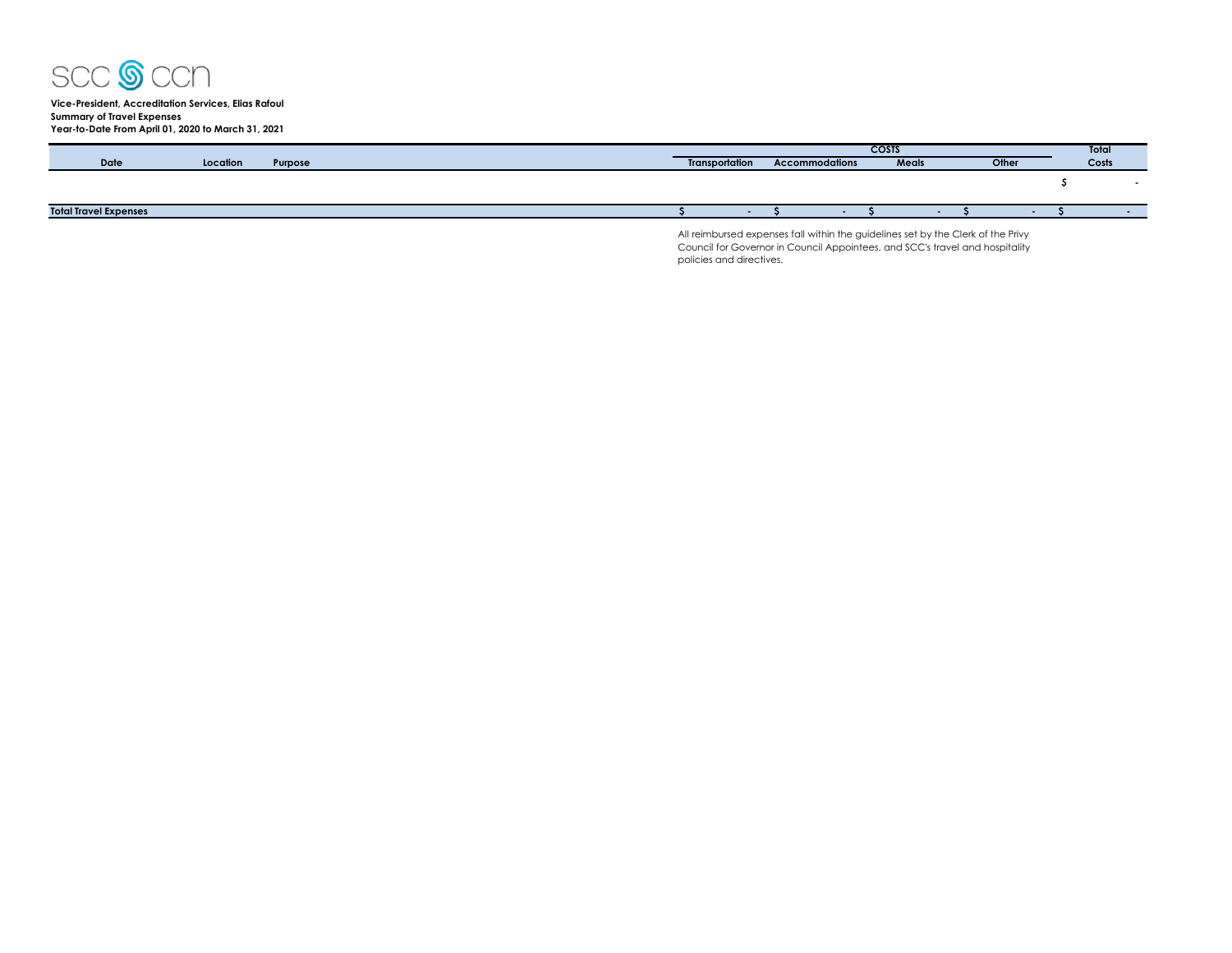

**Vice-President, Accreditation Services, Elias Rafoul Summary of Travel Expenses Year-to-Date From April 01, 2020 to March 31, 2021**

|                              |          |         | <b>COSTS</b>                                                                     |  |                |  |       |  |       |  |  | Total |  |
|------------------------------|----------|---------|----------------------------------------------------------------------------------|--|----------------|--|-------|--|-------|--|--|-------|--|
| Date                         | Location | Purpose | <b>Transportation</b>                                                            |  | Accommodations |  | Meals |  | Other |  |  | Costs |  |
|                              |          |         |                                                                                  |  |                |  |       |  |       |  |  |       |  |
|                              |          |         |                                                                                  |  |                |  |       |  |       |  |  |       |  |
| <b>Total Travel Expenses</b> |          |         |                                                                                  |  |                |  |       |  |       |  |  |       |  |
|                              |          |         | All reimbursed expenses fall within the quidelines set by the Clerk of the Privy |  |                |  |       |  |       |  |  |       |  |

All reimbursed expenses fall within the guidelines set by the Clerk of the Privy Council for Governor in Council Appointees, and SCC's travel and hospitality policies and directives.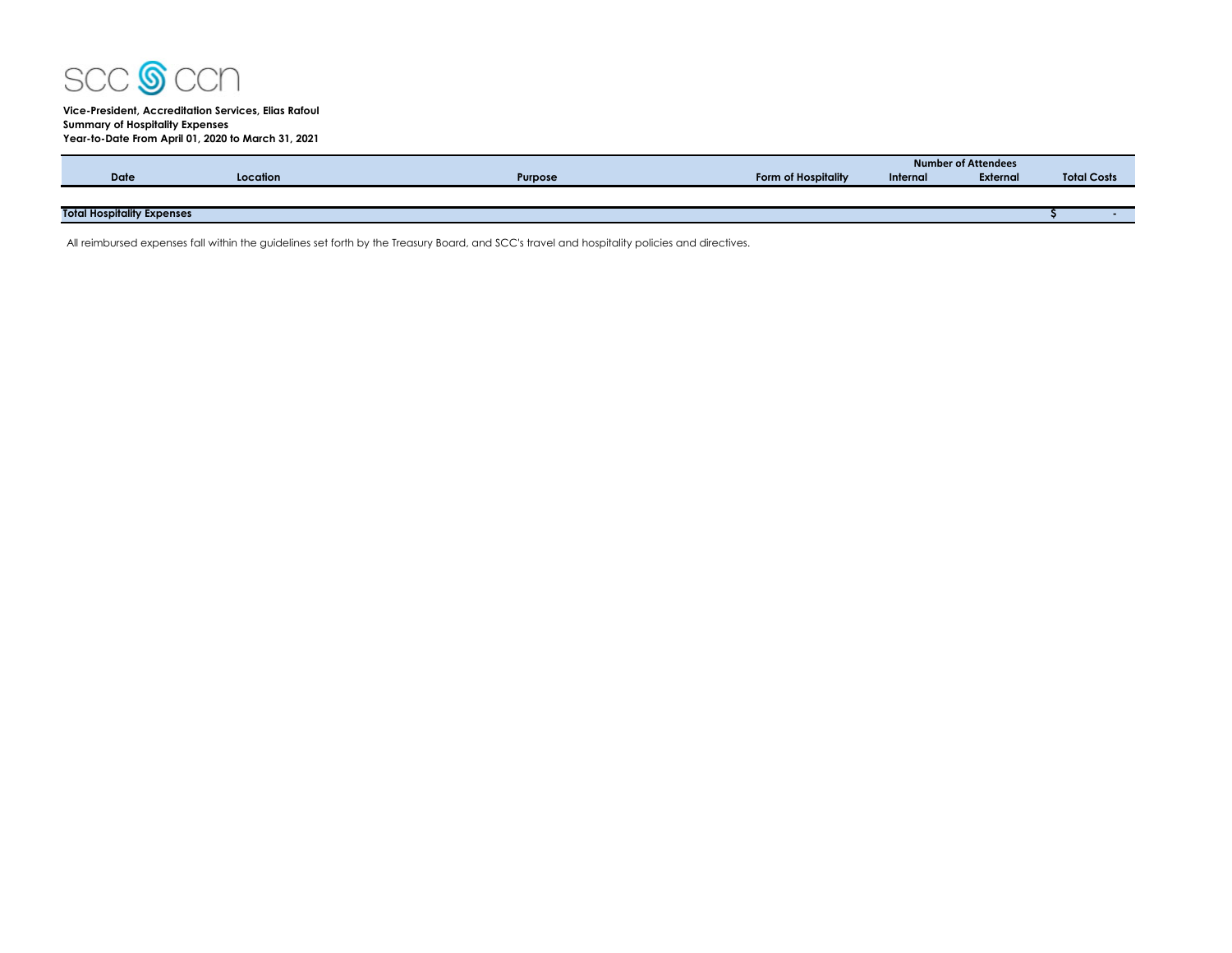

## **Vice-President, Accreditation Services, Elias Rafoul Summary of Hospitality Expenses Year-to-Date From April 01, 2020 to March 31, 2021**

|                                   |          |                |                     | Number of Attendees |                 |                    |  |  |  |  |
|-----------------------------------|----------|----------------|---------------------|---------------------|-----------------|--------------------|--|--|--|--|
| <b>Date</b>                       | Location | <b>Purpose</b> | Form of Hospitality | Internal            | <b>External</b> | <b>Total Costs</b> |  |  |  |  |
|                                   |          |                |                     |                     |                 |                    |  |  |  |  |
| <b>Total Hospitality Expenses</b> |          |                |                     |                     |                 |                    |  |  |  |  |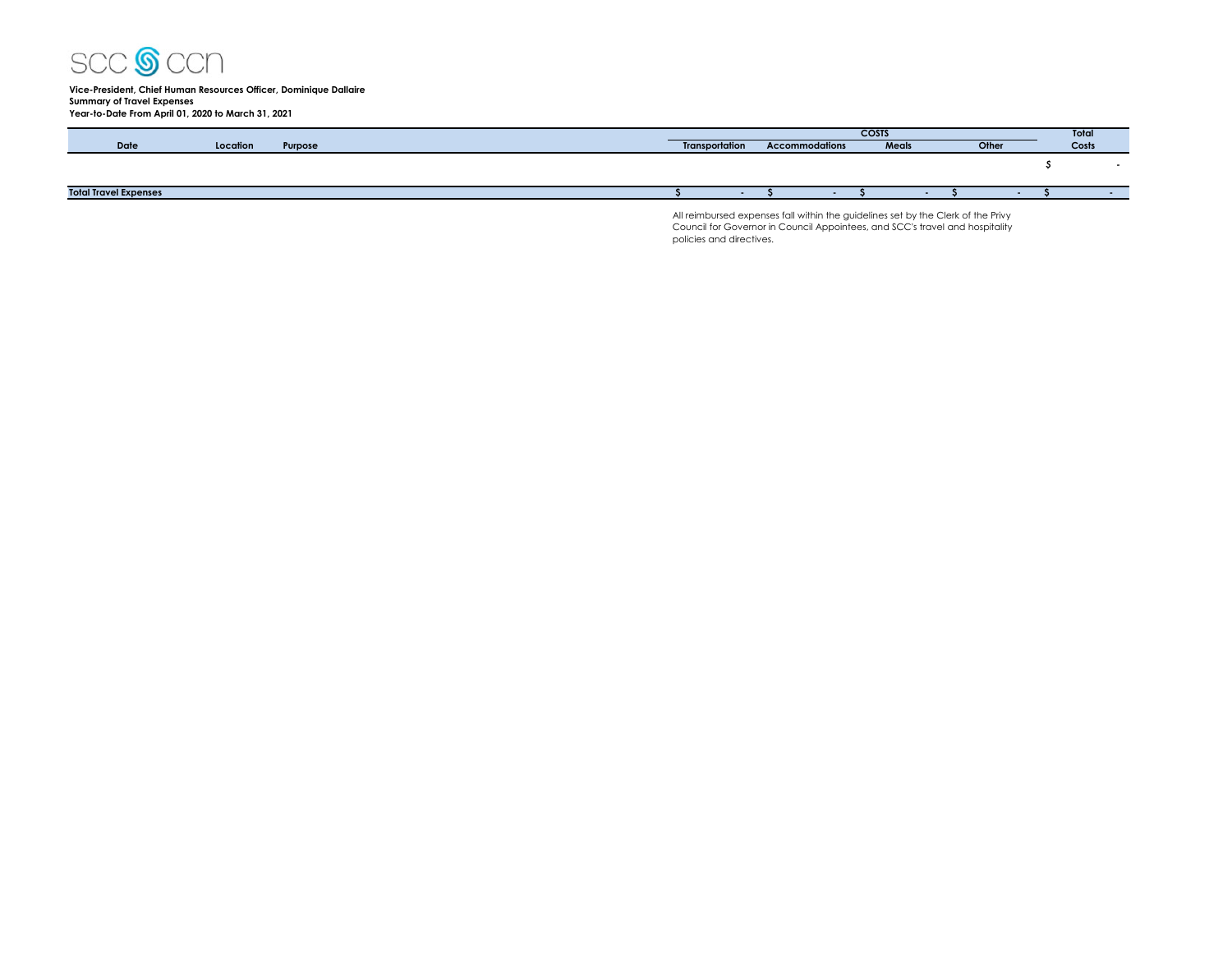

#### **Vice-President, Chief Human Resources Officer, Dominique Dallaire Summary of Travel Expenses Year-to-Date From April 01, 2020 to March 31, 2021**

|                              |          |         | <b>COSTS</b>          |                |  |       |  |  | Total |       |
|------------------------------|----------|---------|-----------------------|----------------|--|-------|--|--|-------|-------|
| Date                         | Location | Purpose | <b>Transportation</b> | Accommodations |  | Meals |  |  | Other | Costs |
|                              |          |         |                       |                |  |       |  |  |       |       |
|                              |          |         |                       |                |  |       |  |  |       |       |
| <b>Total Travel Expenses</b> |          |         |                       |                |  |       |  |  |       |       |

All reimbursed expenses fall within the guidelines set by the Clerk of the Privy Council for Governor in Council Appointees, and SCC's travel and hospitality policies and directives.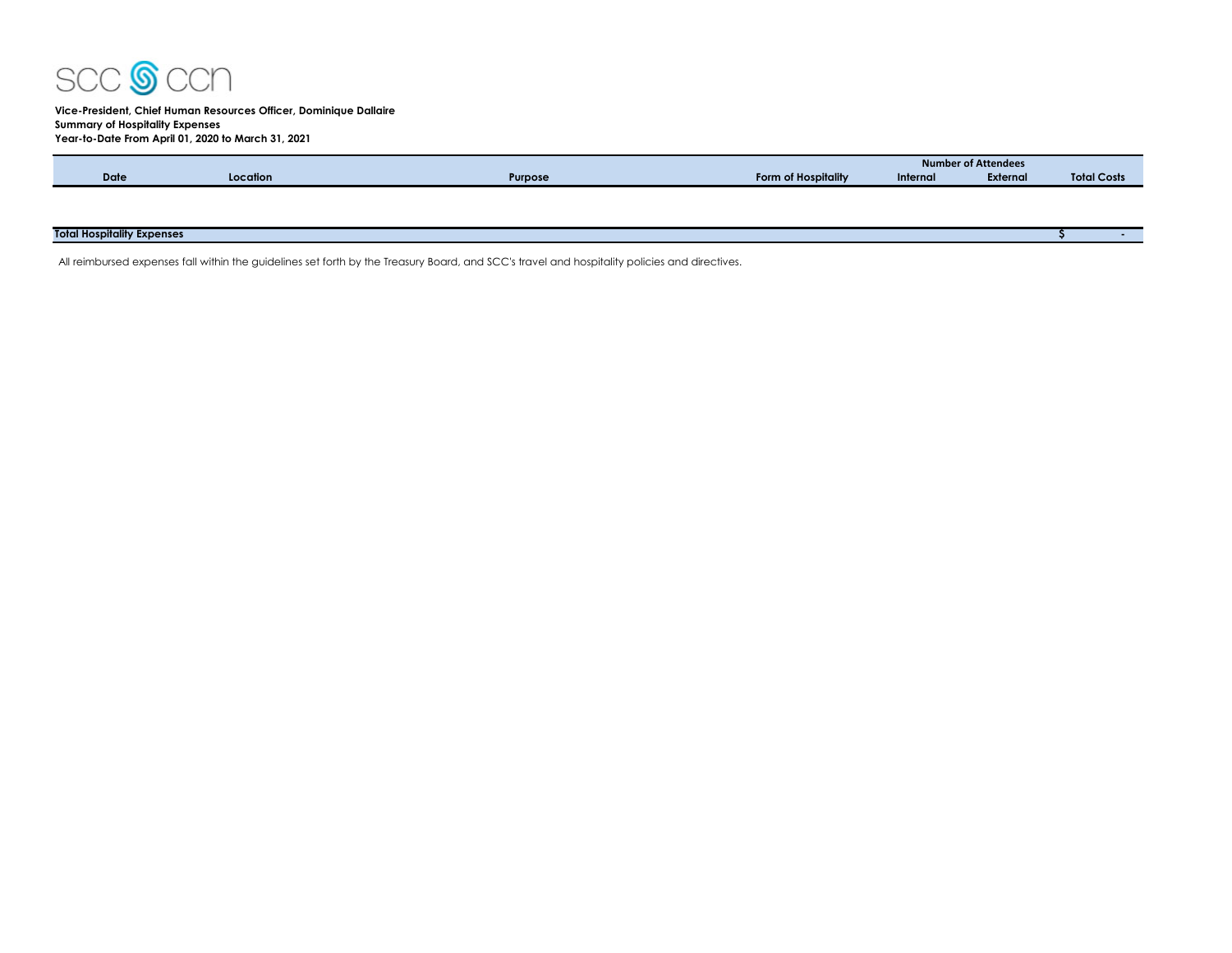

## **Vice-President, Chief Human Resources Officer, Dominique Dallaire Summary of Hospitality Expenses Year-to-Date From April 01, 2020 to March 31, 2021**

|                                   |          |         |                     | <b>Number of Attendees</b> |          |                    |  |  |  |
|-----------------------------------|----------|---------|---------------------|----------------------------|----------|--------------------|--|--|--|
| <b>Date</b>                       | Location | Purpose | Form of Hospitality | Internal                   | External | <b>Total Costs</b> |  |  |  |
|                                   |          |         |                     |                            |          |                    |  |  |  |
|                                   |          |         |                     |                            |          |                    |  |  |  |
|                                   |          |         |                     |                            |          |                    |  |  |  |
| <b>Total Hospitality Expenses</b> |          |         |                     |                            |          |                    |  |  |  |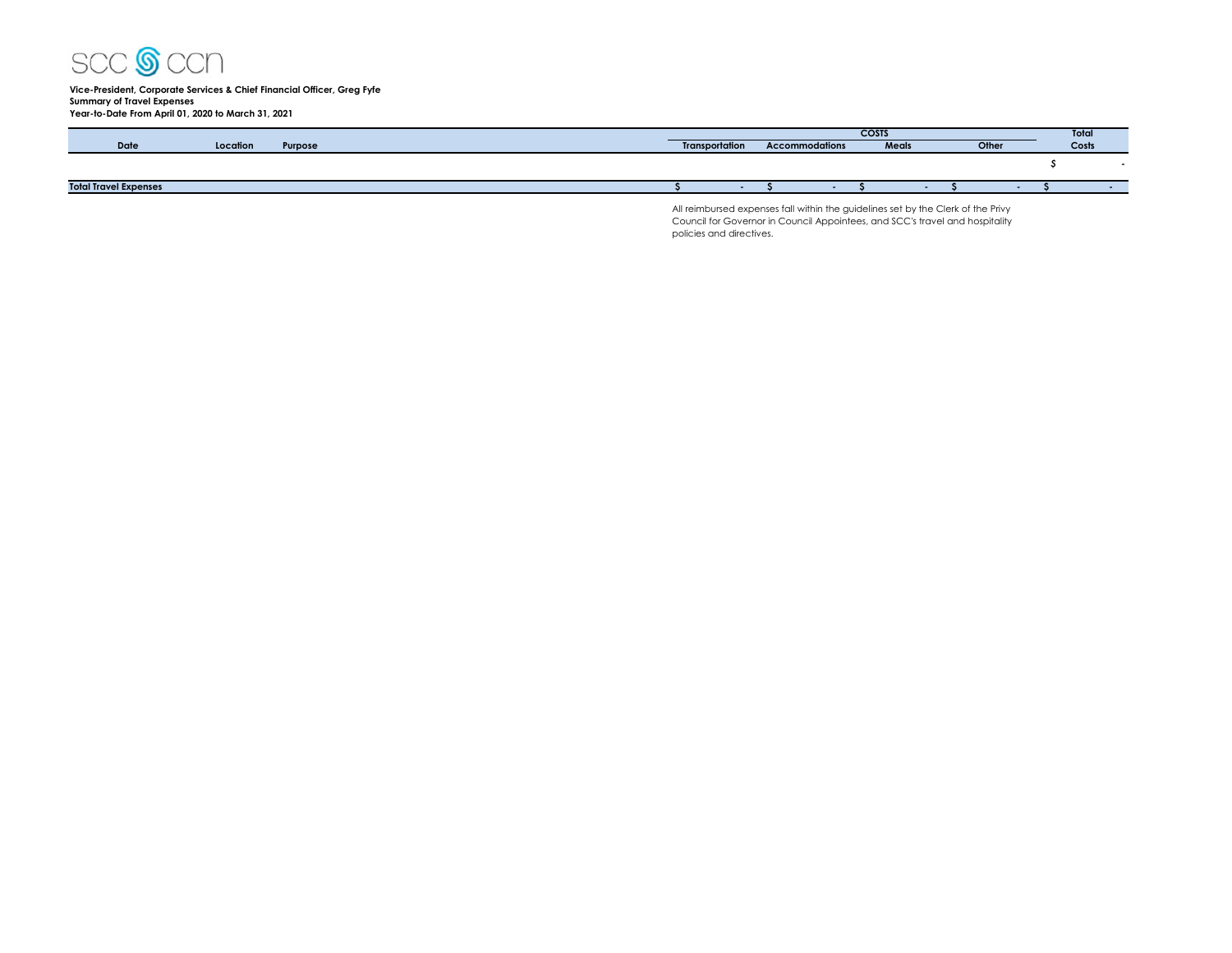

# **Vice-President, Corporate Services & Chief Financial Officer, Greg Fyfe Summary of Travel Expenses Year-to-Date From April 01, 2020 to March 31, 2021**

|                              |          | <b>COSTS</b> |  |                       |                       |       | Total |       |       |  |
|------------------------------|----------|--------------|--|-----------------------|-----------------------|-------|-------|-------|-------|--|
| Date                         | Location | Purpose      |  | <b>Transportation</b> | <b>Accommodations</b> | Meals |       | Other | Costs |  |
|                              |          |              |  |                       |                       |       |       |       |       |  |
| <b>Total Travel Expenses</b> |          |              |  |                       |                       |       |       |       |       |  |

All reimbursed expenses fall within the guidelines set by the Clerk of the Privy Council for Governor in Council Appointees, and SCC's travel and hospitality policies and directives.